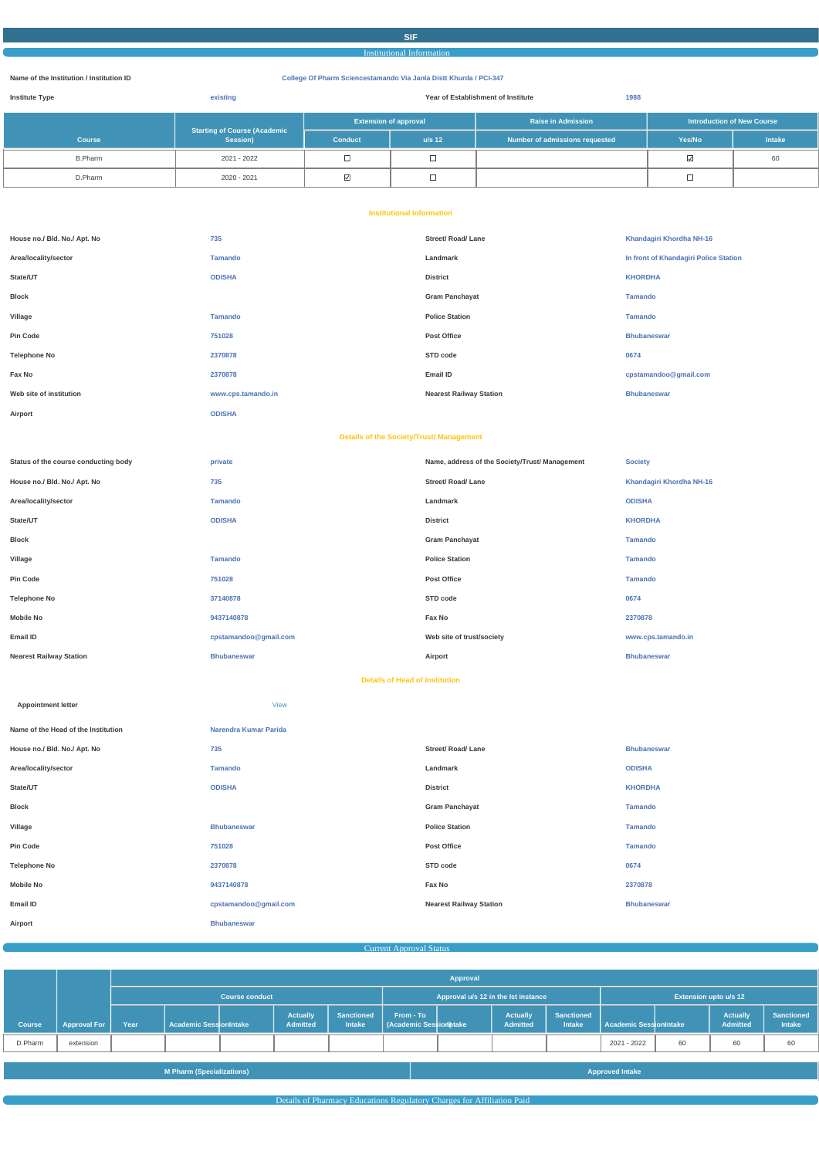#### **SIF**

#### Institutional Information

#### **Name of the Institution / Institution ID College Of Pharm Sciencestamando Via Janla Distt Khurda / PCI-347**

| <b>Institute Type</b> | existing                            | Year of Establishment of Institute |          | 1988                           |                                   |               |
|-----------------------|-------------------------------------|------------------------------------|----------|--------------------------------|-----------------------------------|---------------|
|                       | <b>Starting of Course (Academic</b> | <b>Extension of approval</b>       |          | <b>Raise in Admission</b>      | <b>Introduction of New Course</b> |               |
| <b>Course</b>         | Session)                            | Conduct                            | $u/s$ 12 | Number of admissions requested | Yes/No                            | <b>Intake</b> |
| <b>B.Pharm</b>        | 2021 - 2022                         |                                    | سا       |                                |                                   | 60            |
| D.Pharm               | 2020 - 2021                         | $\triangledown$                    | ᆸ        |                                |                                   |               |

#### **Institutional Information**

| House no./ Bld. No./ Apt. No         | 735                                             | <b>Street/ Road/ Lane</b>                      | Khandagiri Khordha NH-16              |
|--------------------------------------|-------------------------------------------------|------------------------------------------------|---------------------------------------|
| Area/locality/sector                 | <b>Tamando</b>                                  | Landmark                                       | In front of Khandagiri Police Station |
| State/UT                             | <b>ODISHA</b>                                   | <b>District</b>                                | <b>KHORDHA</b>                        |
| <b>Block</b>                         |                                                 | <b>Gram Panchayat</b>                          | <b>Tamando</b>                        |
| Village                              | <b>Tamando</b>                                  | <b>Police Station</b>                          | <b>Tamando</b>                        |
| Pin Code                             | 751028                                          | Post Office                                    | <b>Bhubaneswar</b>                    |
| <b>Telephone No</b>                  | 2370878                                         | STD code                                       | 0674                                  |
| Fax No                               | 2370878                                         | Email ID                                       | cpstamandoo@gmail.com                 |
| Web site of institution              | www.cps.tamando.in                              | <b>Nearest Railway Station</b>                 | <b>Bhubaneswar</b>                    |
| Airport                              | <b>ODISHA</b>                                   |                                                |                                       |
|                                      | <b>Details of the Society/Trust/ Management</b> |                                                |                                       |
|                                      |                                                 |                                                |                                       |
| Status of the course conducting body | private                                         | Name, address of the Society/Trust/ Management | <b>Society</b>                        |
| House no./ Bld. No./ Apt. No         | 735                                             | Street/ Road/ Lane                             | Khandagiri Khordha NH-16              |
| Area/locality/sector                 | <b>Tamando</b>                                  | Landmark                                       | <b>ODISHA</b>                         |
| State/UT                             | <b>ODISHA</b>                                   | <b>District</b>                                | <b>KHORDHA</b>                        |
| <b>Block</b>                         |                                                 | <b>Gram Panchayat</b>                          | <b>Tamando</b>                        |
| Village                              | <b>Tamando</b>                                  | <b>Police Station</b>                          | <b>Tamando</b>                        |
| <b>Pin Code</b>                      | 751028                                          | Post Office                                    | <b>Tamando</b>                        |
| <b>Telephone No</b>                  | 37140878                                        | STD code                                       | 0674                                  |
| <b>Mobile No</b>                     | 9437140878                                      | Fax No                                         | 2370878                               |
| Email ID                             | cpstamandoo@gmail.com                           | Web site of trust/society                      | www.cps.tamando.in                    |
| <b>Nearest Railway Station</b>       | <b>Bhubaneswar</b>                              | Airport                                        | <b>Bhubaneswar</b>                    |

#### **Details of Head of Institution**

| <b>Appointment letter</b>           | <b>View</b>           |                           |                    |
|-------------------------------------|-----------------------|---------------------------|--------------------|
| Name of the Head of the Institution | Narendra Kumar Parida |                           |                    |
| House no./ Bld. No./ Apt. No        | 735                   | <b>Street/ Road/ Lane</b> | <b>Bhubaneswar</b> |
| Area/locality/sector                | <b>Tamando</b>        | Landmark                  | <b>ODISHA</b>      |
| State/UT                            | <b>ODISHA</b>         | <b>District</b>           | <b>KHORDHA</b>     |
| <b>Block</b>                        |                       | <b>Gram Panchayat</b>     | <b>Tamando</b>     |
| Village                             | <b>Bhubaneswar</b>    | <b>Police Station</b>     | <b>Tamando</b>     |
| Pin Code                            | 751028                | <b>Post Office</b>        | <b>Tamando</b>     |
| <b>Telephone No</b>                 | 2370878               | STD code                  | 0674               |

| <b>Mobile No</b> | 9437140878            | Fax No                         | 2370878            |
|------------------|-----------------------|--------------------------------|--------------------|
| Email ID         | cpstamandoo@gmail.com | <b>Nearest Railway Station</b> | <b>Bhubaneswar</b> |
| Airport          | <b>Bhubaneswar</b>    |                                |                    |

| Current Approval Status |  |
|-------------------------|--|
|                         |  |

|               |                     | Approval |                               |                       |                                    |                                    |                                    |                                     |                                    |                            |                              |                                    |                                    |
|---------------|---------------------|----------|-------------------------------|-----------------------|------------------------------------|------------------------------------|------------------------------------|-------------------------------------|------------------------------------|----------------------------|------------------------------|------------------------------------|------------------------------------|
|               |                     |          |                               | <b>Course conduct</b> |                                    |                                    |                                    | Approval u/s 12 in the lst instance |                                    |                            | <b>Extension upto u/s 12</b> |                                    |                                    |
| <b>Course</b> | <b>Approval For</b> | Year     | <b>Academic SessionIntake</b> |                       | <b>Actually</b><br><b>Admitted</b> | <b>Sanctioned</b><br><b>Intake</b> | From - To<br>Academic Session take | <b>Actually</b><br>Admitted         | <b>Sanctioned</b><br><b>Intake</b> | l  Academic SesslionIntake |                              | <b>Actually</b><br><b>Admitted</b> | <b>Sanctioned</b><br><b>Intake</b> |
| D.Pharm       | extension           |          |                               |                       |                                    |                                    |                                    |                                     |                                    | 2021 - 2022                | 60                           | 60                                 | 60                                 |

|--|

Details of Pharmacy Educations Regulatory Charges for Affiliation Paid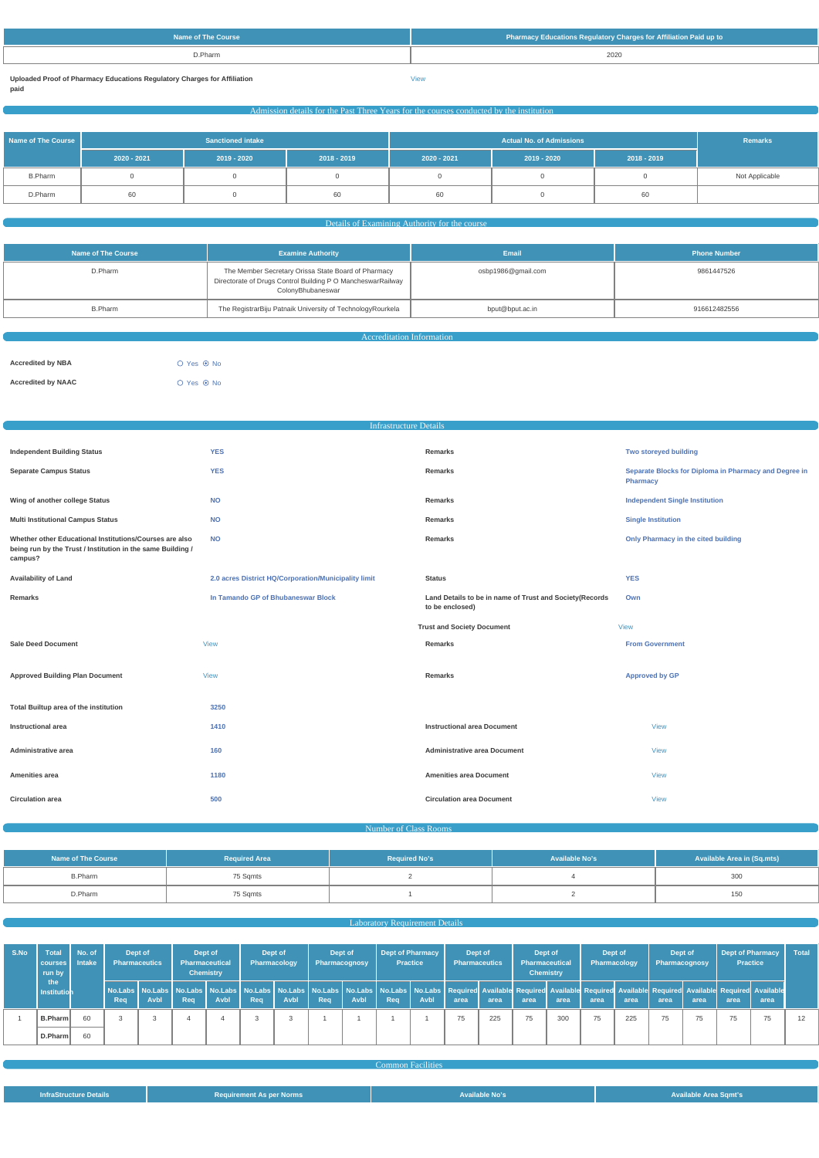| D.Pharm<br>2020 |  |
|-----------------|--|

**Uploaded Proof of Pharmacy Educations Regulatory Charges for Affiliation**

**paid**

[View](https://dgpm.nic.in/institute/getmongoPdfFile.do?renreceiptid=9a6b57e6-40d3-4fd2-8245-b2fa15c94c65&tablename=afficiationfee)

# Admission details for the Past Three Years for the courses conducted by the institution

| Name of The Course | <b>Sanctioned intake</b> |             |               |               | Remarks     |               |                |
|--------------------|--------------------------|-------------|---------------|---------------|-------------|---------------|----------------|
|                    | $2020 - 2021$            | 2019 - 2020 | $2018 - 2019$ | $2020 - 2021$ | 2019 - 2020 | $2018 - 2019$ |                |
| <b>B.Pharm</b>     |                          |             |               |               |             |               | Not Applicable |
| D.Pharm            | 60                       |             | 60            | 60            |             | 60            |                |

#### Details of Examining Authority for the course

| Name of The Course | <b>Examine Authority</b>                                                                                                                | Email              | <b>Phone Number</b> |
|--------------------|-----------------------------------------------------------------------------------------------------------------------------------------|--------------------|---------------------|
| D.Pharm            | The Member Secretary Orissa State Board of Pharmacy<br>Directorate of Drugs Control Building P O MancheswarRailway<br>ColonyBhubaneswar | osbp1986@gmail.com | 9861447526          |
| <b>B.Pharm</b>     | The RegistrarBiju Patnaik University of TechnologyRourkela                                                                              | bput@bput.ac.in    | 916612482556        |

Accreditation Information

| <b>Accredited by NBA</b>  | $O$ Yes $\odot$ No |  |
|---------------------------|--------------------|--|
| <b>Accredited by NAAC</b> | $O$ Yes $\odot$ No |  |

| <b>Infrastructure Details</b>                                                                                                     |                                                      |                                                                            |                                                                          |  |  |  |
|-----------------------------------------------------------------------------------------------------------------------------------|------------------------------------------------------|----------------------------------------------------------------------------|--------------------------------------------------------------------------|--|--|--|
|                                                                                                                                   |                                                      |                                                                            |                                                                          |  |  |  |
| <b>Independent Building Status</b>                                                                                                | <b>YES</b>                                           | Remarks                                                                    | Two storeyed building                                                    |  |  |  |
| <b>Separate Campus Status</b>                                                                                                     | <b>YES</b>                                           | Remarks                                                                    | Separate Blocks for Diploma in Pharmacy and Degree in<br><b>Pharmacy</b> |  |  |  |
| Wing of another college Status                                                                                                    | <b>NO</b>                                            | Remarks                                                                    | <b>Independent Single Institution</b>                                    |  |  |  |
| <b>Multi Institutional Campus Status</b>                                                                                          | <b>NO</b>                                            | Remarks                                                                    | <b>Single Institution</b>                                                |  |  |  |
| Whether other Educational Institutions/Courses are also<br>being run by the Trust / Institution in the same Building /<br>campus? | <b>NO</b>                                            | Remarks                                                                    | Only Pharmacy in the cited building                                      |  |  |  |
| <b>Availability of Land</b>                                                                                                       | 2.0 acres District HQ/Corporation/Municipality limit | <b>Status</b>                                                              | <b>YES</b>                                                               |  |  |  |
| Remarks                                                                                                                           | In Tamando GP of Bhubaneswar Block                   | Land Details to be in name of Trust and Society(Records<br>to be enclosed) | Own                                                                      |  |  |  |
|                                                                                                                                   |                                                      | <b>Trust and Society Document</b>                                          | <b>View</b>                                                              |  |  |  |
| <b>Sale Deed Document</b>                                                                                                         | <b>View</b>                                          | Remarks                                                                    | <b>From Government</b>                                                   |  |  |  |
| <b>Approved Building Plan Document</b>                                                                                            | <b>View</b>                                          | Remarks                                                                    | <b>Approved by GP</b>                                                    |  |  |  |
| Total Builtup area of the institution                                                                                             | 3250                                                 |                                                                            |                                                                          |  |  |  |
| Instructional area                                                                                                                | 1410                                                 | <b>Instructional area Document</b>                                         | <b>View</b>                                                              |  |  |  |
| Administrative area                                                                                                               | 160                                                  | <b>Administrative area Document</b>                                        | <b>View</b>                                                              |  |  |  |
| Amenities area                                                                                                                    | 1180                                                 | <b>Amenities area Document</b>                                             | <b>View</b>                                                              |  |  |  |
| <b>Circulation area</b>                                                                                                           | 500                                                  | <b>Circulation area Document</b>                                           | <b>View</b>                                                              |  |  |  |

Number of Class Rooms

| <b>Name of The Course</b> | <b>Required Area</b> | <b>Required No's</b> | <b>Available No's</b> | <b>Available Area in (Sq.mts)</b> |  |
|---------------------------|----------------------|----------------------|-----------------------|-----------------------------------|--|
| <b>B.Pharm</b>            | 75 Sqmts             |                      |                       | 300                               |  |
| D.Pharm                   | 75 Sqmts             |                      |                       | 150                               |  |

#### **Laboratory Requirement Details**

| S.No | <b>Total</b><br>courses<br>run by | No. of<br><b>Intake</b> | Dept of | <b>Pharmaceutics</b> | Dept of<br><b>Pharmaceutical</b> | <b>Chemistry</b> | Dept of | Pharmacology | Dept of | <b>Pharmacognosy</b> | Dept of Pharmacy<br><b>Practice</b> |      | Dept of<br><b>Pharmaceutics</b>                                                                                                                                                                                                        |      | Dept of<br>Pharmaceutical<br><b>Chemistry</b> |      | Dept of<br>Pharmacology |      | Dept of | Pharmacognosy | <b>Dept of Pharmacy</b><br><b>Practice</b> |      | <b>Total</b> |
|------|-----------------------------------|-------------------------|---------|----------------------|----------------------------------|------------------|---------|--------------|---------|----------------------|-------------------------------------|------|----------------------------------------------------------------------------------------------------------------------------------------------------------------------------------------------------------------------------------------|------|-----------------------------------------------|------|-------------------------|------|---------|---------------|--------------------------------------------|------|--------------|
|      | the<br><b>Institution</b>         |                         | Req     | <b>Avbl</b>          | Req                              | Avbl             | Rea     | <b>Avbl</b>  | Req     | <b>Avbl</b>          | Req                                 | Avbl | No.Labs   No.Labs   No.Labs   No.Labs   No.Labs   No.Labs   No.Labs   No.Labs   No.Labs   No.Labs   Required Available Required Available Required Available Required Available Required Available Required Available Required<br>area | area | area                                          | area | area                    | area | area    | area          | area                                       | area |              |
|      | B.Pharm                           | 60                      | -3      |                      |                                  |                  |         |              |         |                      |                                     |      | 75                                                                                                                                                                                                                                     | 225  | 75                                            | 300  | 75                      | 225  | 75      | 75            | 75                                         | 75   |              |
|      | D.Pharm                           | 60                      |         |                      |                                  |                  |         |              |         |                      |                                     |      |                                                                                                                                                                                                                                        |      |                                               |      |                         |      |         |               |                                            |      |              |

|                               |                                 | <b>Common Facilities</b> |                              |
|-------------------------------|---------------------------------|--------------------------|------------------------------|
|                               |                                 |                          |                              |
|                               |                                 |                          |                              |
| <b>InfraStructure Details</b> | <b>Requirement As per Norms</b> | <b>Available No's</b>    | <b>Available Area Sqmt's</b> |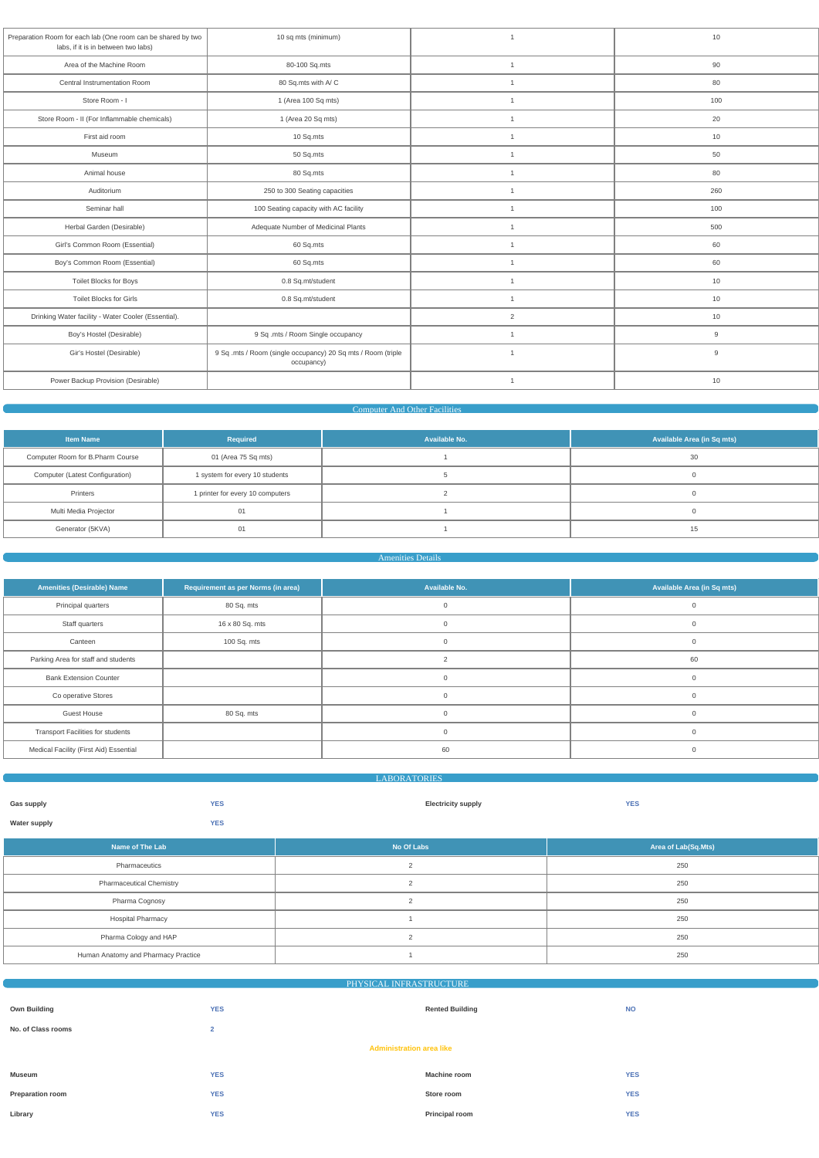| Preparation Room for each lab (One room can be shared by two<br>labs, if it is in between two labs) | 10 sq mts (minimum)                                                        | $\overline{1}$ | 10  |
|-----------------------------------------------------------------------------------------------------|----------------------------------------------------------------------------|----------------|-----|
| Area of the Machine Room                                                                            | 80-100 Sq.mts                                                              | $\overline{1}$ | 90  |
| Central Instrumentation Room                                                                        | 80 Sq.mts with A/C                                                         | $\overline{1}$ | 80  |
| Store Room - I                                                                                      | 1 (Area 100 Sq mts)                                                        | $\overline{1}$ | 100 |
| Store Room - II (For Inflammable chemicals)                                                         | 1 (Area 20 Sq mts)                                                         | $\overline{1}$ | 20  |
| First aid room                                                                                      | 10 Sq.mts                                                                  | $\overline{1}$ | 10  |
| Museum                                                                                              | 50 Sq.mts                                                                  | $\overline{1}$ | 50  |
| Animal house                                                                                        | 80 Sq.mts                                                                  | $\overline{1}$ | 80  |
| Auditorium                                                                                          | 250 to 300 Seating capacities                                              | $\mathbf{1}$   | 260 |
| Seminar hall                                                                                        | 100 Seating capacity with AC facility                                      | $\overline{1}$ | 100 |
| Herbal Garden (Desirable)                                                                           | Adequate Number of Medicinal Plants                                        | $\mathbf{1}$   | 500 |
| Girl's Common Room (Essential)                                                                      | 60 Sq.mts                                                                  | $\overline{1}$ | 60  |
| Boy's Common Room (Essential)                                                                       | 60 Sq.mts                                                                  | $\overline{1}$ | 60  |
| <b>Toilet Blocks for Boys</b>                                                                       | 0.8 Sq.mt/student                                                          | $\overline{1}$ | 10  |
| Toilet Blocks for Girls                                                                             | 0.8 Sq.mt/student                                                          | $\mathbf{1}$   | 10  |
| Drinking Water facility - Water Cooler (Essential).                                                 |                                                                            | $\overline{2}$ | 10  |
| Boy's Hostel (Desirable)                                                                            | 9 Sq .mts / Room Single occupancy                                          | $\mathbf{1}$   | 9   |
| Gir's Hostel (Desirable)                                                                            | 9 Sq .mts / Room (single occupancy) 20 Sq mts / Room (triple<br>occupancy) | $\overline{1}$ | 9   |
| Power Backup Provision (Desirable)                                                                  |                                                                            | $\overline{1}$ | 10  |
|                                                                                                     |                                                                            |                |     |

#### Computer And Other Facilities

| <b>Item Name</b>                  | Required                         | Available No. | Available Area (in Sq mts) |
|-----------------------------------|----------------------------------|---------------|----------------------------|
| Computer Room for B. Pharm Course | 01 (Area 75 Sq mts)              |               | 30                         |
| Computer (Latest Configuration)   | 1 system for every 10 students   |               |                            |
| Printers                          | 1 printer for every 10 computers |               |                            |
| Multi Media Projector             | 01                               |               |                            |
| Generator (5KVA)                  | 01                               |               |                            |

#### Amenities Details

| <b>Amenities (Desirable) Name</b>        | Requirement as per Norms (in area) | Available No.  | Available Area (in Sq mts) |
|------------------------------------------|------------------------------------|----------------|----------------------------|
| Principal quarters                       | 80 Sq. mts                         | 0              |                            |
| Staff quarters                           | 16 x 80 Sq. mts                    | O              |                            |
| Canteen                                  | 100 Sq. mts                        | $\mathbf{0}$   |                            |
| Parking Area for staff and students      |                                    | $\overline{2}$ | 60                         |
| <b>Bank Extension Counter</b>            |                                    | $\mathbf{0}$   |                            |
| Co operative Stores                      |                                    | $\Omega$       | $\cap$                     |
| <b>Guest House</b>                       | 80 Sq. mts                         | $\Omega$       | $\cap$                     |
| <b>Transport Facilities for students</b> |                                    | $\Omega$       |                            |
| Medical Facility (First Aid) Essential   |                                    | 60             |                            |
|                                          |                                    |                |                            |

|                     | <b>LABORATORIES</b> |                           |            |
|---------------------|---------------------|---------------------------|------------|
|                     |                     |                           |            |
| <b>Gas supply</b>   | <b>YES</b>          | <b>Electricity supply</b> | <b>YES</b> |
|                     | <b>YES</b>          |                           |            |
| <b>Water supply</b> |                     |                           |            |

| こうしょうせいしょう しんし<br><b>STATISTICS</b> | No Of Labs | Area of Lab(Sq.Mts) |
|-------------------------------------|------------|---------------------|
| Pharmaceutics                       |            | ח בר<br>∠ou         |

| <b>Pharmaceutical Chemistry</b>     | 250 |
|-------------------------------------|-----|
| Pharma Cognosy                      | 250 |
| <b>Hospital Pharmacy</b>            | 250 |
| Pharma Cology and HAP               | 250 |
| Human Anatomy and Pharmacy Practice | 250 |

|                                 | PHYSICAL INFRASTRUCTURE |                        |            |  |  |  |
|---------------------------------|-------------------------|------------------------|------------|--|--|--|
|                                 |                         |                        |            |  |  |  |
| <b>Own Building</b>             | <b>YES</b>              | <b>Rented Building</b> | <b>NO</b>  |  |  |  |
| No. of Class rooms              | $\overline{2}$          |                        |            |  |  |  |
| <b>Administration area like</b> |                         |                        |            |  |  |  |
| Museum                          | <b>YES</b>              | <b>Machine room</b>    | <b>YES</b> |  |  |  |
| <b>Preparation room</b>         | <b>YES</b>              | Store room             | <b>YES</b> |  |  |  |
| Library                         | <b>YES</b>              | Principal room         | <b>YES</b> |  |  |  |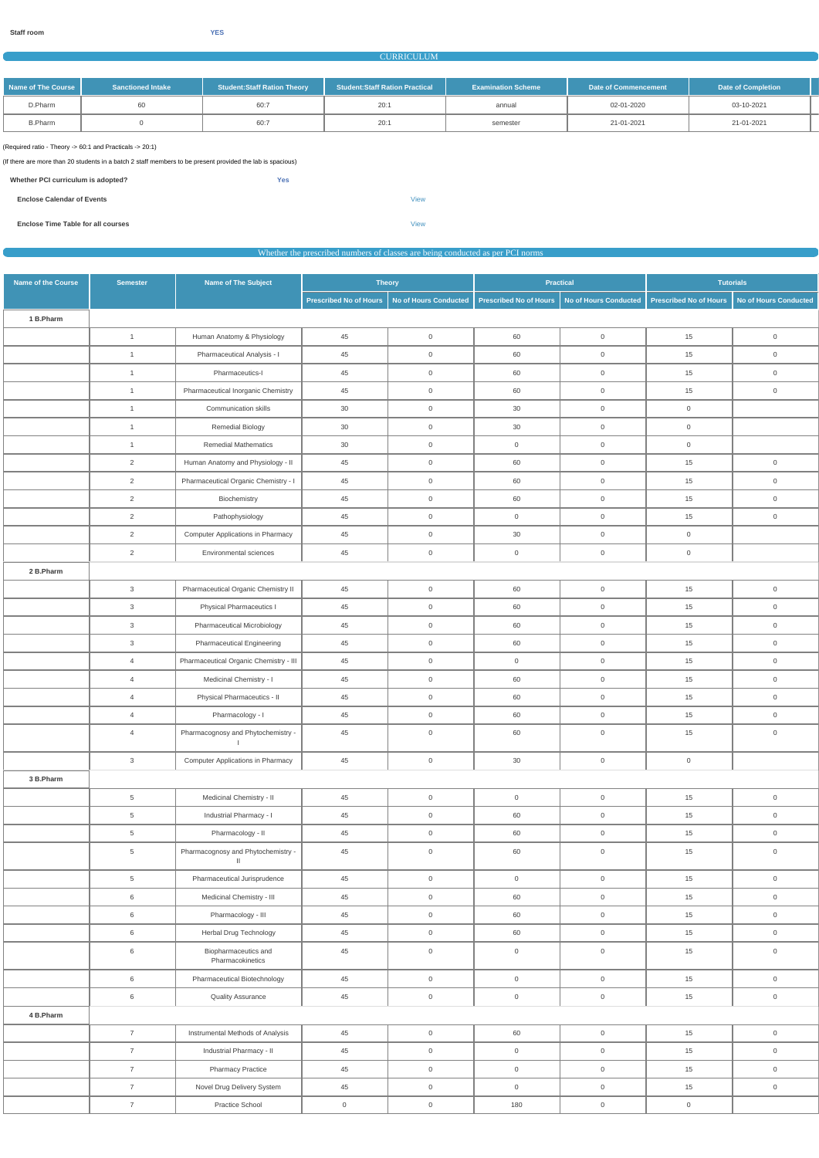#### CURRICULUM

| Name of The Course I | <b>Sanctioned Intake</b> | <b>Student:Staff Ration Theory</b> | Student:Staff Ration Practical | <b>Examination Scheme</b> | Date of Commencement | <b>Date of Completion</b> |  |
|----------------------|--------------------------|------------------------------------|--------------------------------|---------------------------|----------------------|---------------------------|--|
| D.Pharm              | 60                       | 60:7                               | 20:1                           | annual                    | 02-01-2020           | 03-10-2021                |  |
| <b>B.Pharm</b>       |                          | 60:7                               | 20:1                           | semester                  | 21-01-2021           | 21-01-2021                |  |

(Required ratio - Theory -> 60:1 and Practicals -> 20:1)

(If there are more than 20 students in a batch 2 staff members to be present provided the lab is spacious)

| Whether PCI curriculum is adopted? | <b>Yes</b> |
|------------------------------------|------------|
|                                    |            |

| <b>Enclose Calendar of Events</b>         |      |  |  |
|-------------------------------------------|------|--|--|
|                                           |      |  |  |
| <b>Enclose Time Table for all courses</b> | View |  |  |

Whether the prescribed numbers of classes are being conducted as per PCI norms

| Name of the Course | <b>Semester</b> | <b>Name of The Subject</b>                         | <b>Theory</b>                 |                       |                        | <b>Practical</b>      | <b>Tutorials</b>              |                              |
|--------------------|-----------------|----------------------------------------------------|-------------------------------|-----------------------|------------------------|-----------------------|-------------------------------|------------------------------|
|                    |                 |                                                    | <b>Prescribed No of Hours</b> | No of Hours Conducted | Prescribed No of Hours | No of Hours Conducted | <b>Prescribed No of Hours</b> | <b>No of Hours Conducted</b> |
| 1 B.Pharm          |                 |                                                    |                               |                       |                        |                       |                               |                              |
|                    | $\overline{1}$  | Human Anatomy & Physiology                         | 45                            | $\mathsf{O}\xspace$   | 60                     | $\mathsf{O}\xspace$   | 15                            | $\mathsf{O}\xspace$          |
|                    | $\overline{1}$  | Pharmaceutical Analysis - I                        | 45                            | $\mathsf{O}\xspace$   | 60                     | $\mathsf 0$           | 15                            | $\overline{0}$               |
|                    | $\overline{1}$  | Pharmaceutics-I                                    | 45                            | $\mathsf{O}\xspace$   | 60                     | $\mathsf{O}\xspace$   | 15                            | $\overline{0}$               |
|                    | $\overline{1}$  | Pharmaceutical Inorganic Chemistry                 | 45                            | $\mathsf{O}\xspace$   | 60                     | $\overline{0}$        | 15                            | $\mathsf{O}\xspace$          |
|                    | $\overline{1}$  | Communication skills                               | 30                            | $\mathbf 0$           | 30                     | $\overline{0}$        | $\overline{0}$                |                              |
|                    | $\overline{1}$  | <b>Remedial Biology</b>                            | 30                            | $\mathsf{O}\xspace$   | 30                     | $\mathsf{O}\xspace$   | $\overline{0}$                |                              |
|                    | $\overline{1}$  | <b>Remedial Mathematics</b>                        | 30                            | $\mathsf{O}\xspace$   | $\overline{0}$         | $\mathsf{O}\xspace$   | $\overline{0}$                |                              |
|                    | $\overline{2}$  | Human Anatomy and Physiology - II                  | 45                            | $\mathsf{O}\xspace$   | 60                     | $\overline{0}$        | 15                            | $\overline{0}$               |
|                    | $\overline{2}$  | Pharmaceutical Organic Chemistry - I               | 45                            | $\mathsf{O}\xspace$   | 60                     | $\mathsf{O}\xspace$   | 15                            | $\mathbf{0}$                 |
|                    | $\overline{2}$  | Biochemistry                                       | 45                            | $\mathsf{O}\xspace$   | 60                     | $\mathsf{O}\xspace$   | 15                            | $\mathsf{O}\xspace$          |
|                    | $\overline{2}$  | Pathophysiology                                    | 45                            | $\mathsf{O}\xspace$   | $\overline{0}$         | $\overline{0}$        | 15                            | $\overline{0}$               |
|                    | $\overline{2}$  | <b>Computer Applications in Pharmacy</b>           | 45                            | $\mathsf{O}\xspace$   | 30                     | $\mathbf 0$           | $\overline{0}$                |                              |
|                    | $\overline{2}$  | Environmental sciences                             | 45                            | $\mathsf{O}$          | $\overline{0}$         | $\mathsf 0$           | $\overline{0}$                |                              |
| 2 B.Pharm          |                 |                                                    |                               |                       |                        |                       |                               |                              |
|                    | $\mathbf{3}$    | Pharmaceutical Organic Chemistry II                | 45                            | $\mathsf{O}\xspace$   | 60                     | $\mathsf{O}\xspace$   | 15                            | $\mathsf{O}\xspace$          |
|                    | $\mathbf{3}$    | Physical Pharmaceutics I                           | 45                            | $\mathsf{O}\xspace$   | 60                     | $\mathbf 0$           | 15                            | $\overline{0}$               |
|                    | $\mathbf{3}$    | Pharmaceutical Microbiology                        | 45                            | $\mathsf{O}\xspace$   | 60                     | $\mathsf{O}\xspace$   | 15                            | $\mathsf{O}\xspace$          |
|                    | $\mathbf{3}$    | <b>Pharmaceutical Engineering</b>                  | 45                            | $\mathbf 0$           | 60                     | $\mathbf 0$           | 15                            | $\mathsf{O}\xspace$          |
|                    | $\overline{4}$  | Pharmaceutical Organic Chemistry - III             | 45                            | $\mathbf 0$           | $\overline{0}$         | $\overline{0}$        | 15                            | $\overline{0}$               |
|                    | $\overline{4}$  | Medicinal Chemistry - I                            | 45                            | $\mathsf{O}\xspace$   | 60                     | $\mathsf{O}\xspace$   | 15                            | $\mathsf{O}\xspace$          |
|                    | $\overline{4}$  | Physical Pharmaceutics - II                        | 45                            | $\mathsf{O}\xspace$   | 60                     | $\mathsf 0$           | 15                            | $\overline{0}$               |
|                    | $\overline{4}$  | Pharmacology - I                                   | 45                            | $\mathsf{O}\xspace$   | 60                     | $\mathsf 0$           | 15                            | $\overline{0}$               |
|                    | $\overline{4}$  | Pharmacognosy and Phytochemistry -<br>$\perp$      | 45                            | $\mathsf{O}\xspace$   | 60                     | $\mathsf{O}\xspace$   | 15                            | $\mathsf{O}\xspace$          |
|                    | $\mathbf{3}$    | <b>Computer Applications in Pharmacy</b>           | $45\,$                        | $\mathsf{O}\xspace$   | $30\,$                 | $\mathsf{O}\xspace$   | $\overline{0}$                |                              |
| 3 B.Pharm          |                 |                                                    |                               |                       |                        |                       |                               |                              |
|                    | $5\overline{)}$ | Medicinal Chemistry - II                           | 45                            | $\mathsf{O}\xspace$   | $\overline{0}$         | $\mathsf{O}\xspace$   | 15                            | $\mathsf{O}\xspace$          |
|                    | $5\overline{)}$ | Industrial Pharmacy - I                            | 45                            | $\overline{0}$        | 60                     | $\overline{0}$        | 15                            | $\overline{0}$               |
|                    | $5\overline{)}$ | Pharmacology - II                                  | 45                            | $\mathsf{O}$          | 60                     | $\overline{0}$        | 15                            | $\overline{0}$               |
|                    | $5\overline{)}$ | Pharmacognosy and Phytochemistry -<br>$\mathbf{H}$ | $45\,$                        | $\mathsf{O}\xspace$   | 60                     | $\mathsf{O}\xspace$   | 15                            | $\mathsf{O}\xspace$          |
|                    | 5 <sup>5</sup>  | Pharmaceutical Jurisprudence                       | 45                            | $\mathbf 0$           | $\overline{0}$         | $\overline{0}$        | 15                            | $\mathbf{0}$                 |
|                    | 6               | Medicinal Chemistry - III                          | 45                            | $\overline{0}$        | 60                     | $\overline{0}$        | 15                            | $\overline{0}$               |
|                    | 6               | Pharmacology - III                                 | 45                            | $\mathsf{O}$          | 60                     | $\overline{0}$        | 15                            | $\overline{0}$               |
|                    | 6               | Herbal Drug Technology                             | 45                            | $\mathsf{O}\xspace$   | 60                     | $\mathsf{O}\xspace$   | 15                            | $\overline{0}$               |
|                    | 6               | Biopharmaceutics and<br>Pharmacokinetics           | 45                            | $\mathsf{O}\xspace$   | $\overline{0}$         | $\mathbf 0$           | 15                            | $\mathsf{O}\xspace$          |
|                    | 6               | Pharmaceutical Biotechnology                       | 45                            | $\mathbf 0$           | $\overline{0}$         | $\overline{0}$        | 15                            | $\overline{0}$               |
|                    | 6               | <b>Quality Assurance</b>                           | 45                            | $\mathsf{O}\xspace$   | $\overline{0}$         | $\overline{0}$        | 15                            | $\overline{0}$               |
| 4 B.Pharm          |                 |                                                    |                               |                       |                        |                       |                               |                              |
|                    | $\overline{7}$  | Instrumental Methods of Analysis                   | 45                            | $\mathsf{O}\xspace$   | 60                     | $\overline{0}$        | 15                            | $\overline{0}$               |
|                    | $\overline{7}$  | Industrial Pharmacy - II                           | $45\,$                        | $\mathsf{O}\xspace$   | $\overline{0}$         | $\mathsf{O}\xspace$   | 15                            | $\mathbf 0$                  |
|                    | $\overline{7}$  | <b>Pharmacy Practice</b>                           | 45                            | $\mathsf{O}\xspace$   | $\overline{0}$         | $\mathsf{O}\xspace$   | 15                            | $\overline{0}$               |
|                    | $\overline{7}$  | Novel Drug Delivery System                         | 45                            | $\mathsf{O}\xspace$   | $\overline{0}$         | $\overline{0}$        | 15                            | $\overline{0}$               |
|                    | $\overline{7}$  | Practice School                                    | $\overline{0}$                | $\mathsf{O}\xspace$   | 180                    | $\mathsf{O}$          | $\overline{0}$                |                              |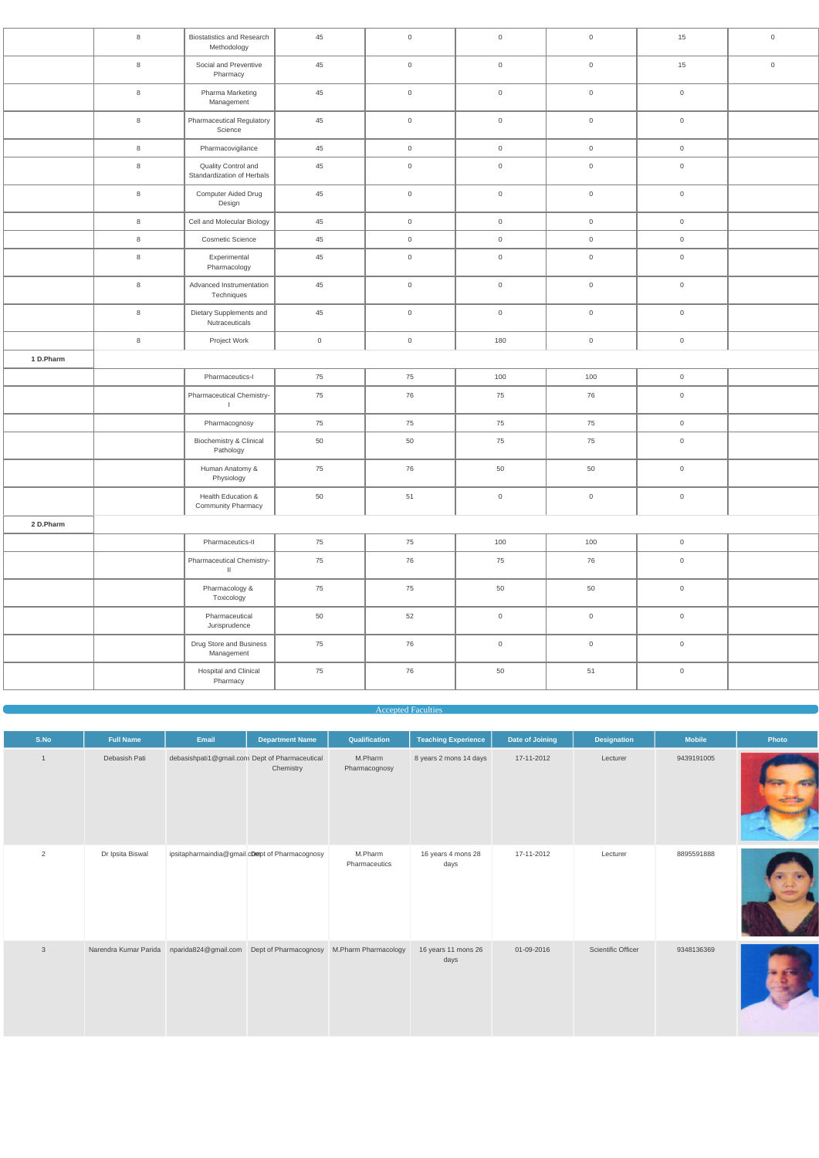|           | 8       | <b>Biostatistics and Research</b><br>Methodology  | 45             | $\mathbf 0$         | $\mathsf{O}\xspace$ | $\overline{0}$      | 15                  | $\mathsf{O}$        |
|-----------|---------|---------------------------------------------------|----------------|---------------------|---------------------|---------------------|---------------------|---------------------|
|           | $\,8\,$ | Social and Preventive<br>Pharmacy                 | 45             | $\overline{0}$      | $\mathsf{O}\xspace$ | $\overline{0}$      | 15                  | $\mathsf{O}\xspace$ |
|           | 8       | Pharma Marketing<br>Management                    | 45             | $\mathbf 0$         | $\mathsf{O}\xspace$ | $\overline{0}$      | $\overline{0}$      |                     |
|           | 8       | <b>Pharmaceutical Regulatory</b><br>Science       | 45             | $\overline{0}$      | $\mathsf{O}\xspace$ | $\overline{0}$      | $\overline{0}$      |                     |
|           | 8       | Pharmacovigilance                                 | 45             | $\overline{0}$      | $\mathsf{O}\xspace$ | $\overline{0}$      | $\overline{0}$      |                     |
|           | $\,8\,$ | Quality Control and<br>Standardization of Herbals | 45             | $\mathsf{O}\xspace$ | $\mathsf{O}\xspace$ | $\overline{0}$      | $\mathsf{O}\xspace$ |                     |
|           | 8       | Computer Aided Drug<br>Design                     | 45             | $\overline{0}$      | $\mathsf{O}\xspace$ | $\overline{0}$      | $\overline{0}$      |                     |
|           | 8       | Cell and Molecular Biology                        | 45             | $\overline{0}$      | $\,0\,$             | $\overline{0}$      | $\overline{0}$      |                     |
|           | 8       | <b>Cosmetic Science</b>                           | 45             | $\overline{0}$      | $\overline{0}$      | $\overline{0}$      | $\overline{0}$      |                     |
|           | 8       | Experimental<br>Pharmacology                      | 45             | $\mathbf 0$         | $\,0\,$             | $\overline{0}$      | $\overline{0}$      |                     |
|           | 8       | Advanced Instrumentation<br>Techniques            | 45             | $\overline{0}$      | $\mathsf{O}\xspace$ | $\overline{0}$      | $\mathsf{O}\xspace$ |                     |
|           | 8       | Dietary Supplements and<br>Nutraceuticals         | 45             | $\overline{0}$      | $\mathsf{O}\xspace$ | $\overline{0}$      | $\overline{0}$      |                     |
|           | $\,8\,$ | Project Work                                      | $\overline{0}$ | $\overline{0}$      | 180                 | $\overline{0}$      | $\overline{0}$      |                     |
| 1 D.Pharm |         |                                                   |                |                     |                     |                     |                     |                     |
|           |         | Pharmaceutics-I                                   | 75             | 75                  | 100                 | 100                 | $\overline{0}$      |                     |
|           |         | Pharmaceutical Chemistry-<br>$\perp$              | 75             | 76                  | 75                  | 76                  | $\overline{0}$      |                     |
|           |         | Pharmacognosy                                     | 75             | 75                  | 75                  | 75                  | $\overline{0}$      |                     |
|           |         | Biochemistry & Clinical<br>Pathology              | 50             | 50                  | 75                  | 75                  | $\overline{0}$      |                     |
|           |         | Human Anatomy &<br>Physiology                     | 75             | 76                  | 50                  | 50                  | $\boldsymbol{0}$    |                     |
|           |         | Health Education &<br><b>Community Pharmacy</b>   | 50             | 51                  | $\,0\,$             | $\mathsf{O}\xspace$ | $\overline{0}$      |                     |
| 2 D.Pharm |         |                                                   |                |                     |                     |                     |                     |                     |
|           |         | Pharmaceutics-II                                  | 75             | 75                  | 100                 | 100                 | $\overline{0}$      |                     |
|           |         | Pharmaceutical Chemistry-<br>$\mathbf{H}$         | 75             | 76                  | 75                  | 76                  | $\overline{0}$      |                     |
|           |         | Pharmacology &<br>Toxicology                      | 75             | 75                  | 50                  | 50                  | $\mathsf{O}$        |                     |
|           |         | Pharmaceutical<br>Jurisprudence                   | 50             | 52                  | $\mathsf{O}$        | $\overline{0}$      | $\overline{0}$      |                     |
|           |         | Drug Store and Business<br>Management             | 75             | 76                  | $\mathsf{O}$        | $\overline{0}$      | $\overline{0}$      |                     |
|           |         | Hospital and Clinical<br>Pharmacy                 | 75             | 76                  | 50                  | 51                  | $\mathsf{O}$        |                     |

#### Accepted Faculties

| S.No     | <b>Full Name</b> | Email | <b>Department Name</b>                                      | Qualification            | <b>Teaching Experience</b> | Date of Joining | <b>Designation</b> | <b>Mobile</b> | Photo |
|----------|------------------|-------|-------------------------------------------------------------|--------------------------|----------------------------|-----------------|--------------------|---------------|-------|
|          | Debasish Pati    |       | debasishpati1@gmail.com Dept of Pharmaceutical<br>Chemistry | M.Pharm<br>Pharmacognosy | 8 years 2 mons 14 days     | 17-11-2012      | Lecturer           | 9439191005    |       |
| $\Omega$ | Dr Ipsita Biswal |       | ipsitapharmaindia@gmail.cDmept of Pharmacognosy             | M.Pharm                  | 16 years 4 mons 28         | 17-11-2012      | Lecturer           | 8895591888    |       |

Pharmaceutics

days

| $\mathbf{3}$ |  |  | 16 years 11 mons 26<br>days | 01-09-2016 | Scientific Officer | 9348136369 |  |
|--------------|--|--|-----------------------------|------------|--------------------|------------|--|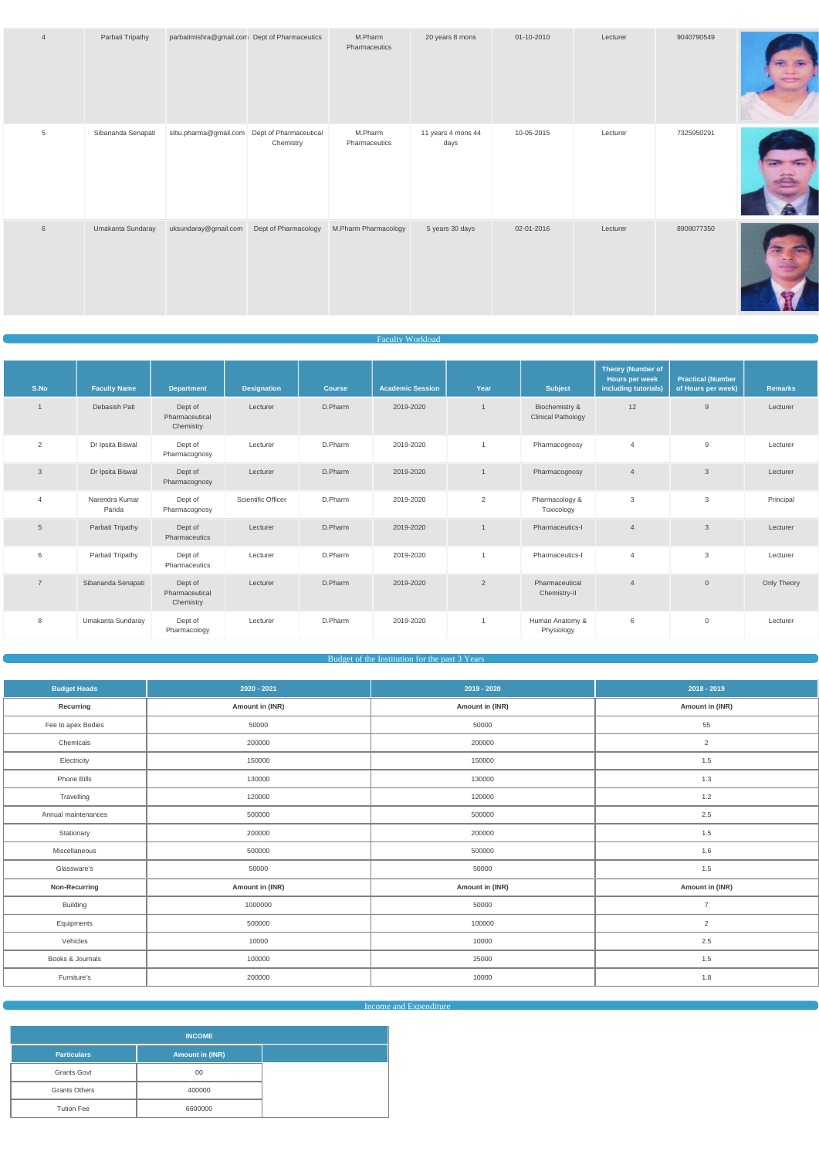| $\overline{4}$  | Parbati Tripathy   | parbatimishra@gmail.com Dept of Pharmaceutics |                      | M.Pharm<br>Pharmaceutics | 20 years 8 mons            | 01-10-2010 | Lecturer | 9040790549 |  |
|-----------------|--------------------|-----------------------------------------------|----------------------|--------------------------|----------------------------|------------|----------|------------|--|
| $5\phantom{.0}$ | Sibananda Senapati | sibu.pharma@gmail.com Dept of Pharmaceutical  | Chemistry            | M.Pharm<br>Pharmaceutics | 11 years 4 mons 44<br>days | 10-05-2015 | Lecturer | 7325950291 |  |
| 6               | Umakanta Sundaray  | uksundaray@gmail.com                          | Dept of Pharmacology | M.Pharm Pharmacology     | 5 years 30 days            | 02-01-2016 | Lecturer | 8908077350 |  |

#### Faculty Workload

| S.No            | <b>Faculty Name</b>      | <b>Department</b>                      | <b>Designation</b> | <b>Course</b> | <b>Academic Session</b> | Year           | <b>Subject</b>                              | <b>Theory (Number of</b><br>Hours per week<br>including tutorials) | <b>Practical (Number</b><br>of Hours per week) | <b>Remarks</b> |
|-----------------|--------------------------|----------------------------------------|--------------------|---------------|-------------------------|----------------|---------------------------------------------|--------------------------------------------------------------------|------------------------------------------------|----------------|
| $\mathbf 1$     | Debasish Pati            | Dept of<br>Pharmaceutical<br>Chemistry | Lecturer           | D.Pharm       | 2019-2020               |                | Biochemistry &<br><b>Clinical Pathology</b> | 12                                                                 | 9                                              | Lecturer       |
| 2               | Dr Ipsita Biswal         | Dept of<br>Pharmacognosy               | Lecturer           | D.Pharm       | 2019-2020               | 1              | Pharmacognosy                               | 4                                                                  | 9                                              | Lecturer       |
| $\mathbf{3}$    | Dr Ipsita Biswal         | Dept of<br>Pharmacognosy               | Lecturer           | D.Pharm       | 2019-2020               | $\mathbf{1}$   | Pharmacognosy                               | $\overline{4}$                                                     | 3                                              | Lecturer       |
| $\overline{4}$  | Narendra Kumar<br>Parida | Dept of<br>Pharmacognosy               | Scientific Officer | D.Pharm       | 2019-2020               | 2              | Pharmacology &<br>Toxicology                | 3                                                                  | 3                                              | Principal      |
| $5\phantom{.0}$ | Parbati Tripathy         | Dept of<br>Pharmaceutics               | Lecturer           | D.Pharm       | 2019-2020               |                | Pharmaceutics-I                             | $\overline{4}$                                                     | 3                                              | Lecturer       |
| 6               | Parbati Tripathy         | Dept of<br>Pharmaceutics               | Lecturer           | D.Pharm       | 2019-2020               | 1              | Pharmaceutics-I                             | $\overline{4}$                                                     | 3                                              | Lecturer       |
| $\overline{7}$  | Sibananda Senapati       | Dept of<br>Pharmaceutical<br>Chemistry | Lecturer           | D.Pharm       | 2019-2020               | $\overline{2}$ | Pharmaceutical<br>Chemistry-II              | $\overline{4}$                                                     | $\overline{0}$                                 | Only Theory    |
| 8               | Umakanta Sundaray        | Dept of<br>Pharmacology                | Lecturer           | D.Pharm       | 2019-2020               | $\mathbf{1}$   | Human Anatomy &<br>Physiology               | 6                                                                  | $\overline{0}$                                 | Lecturer       |

#### Budget of the Institution for the past 3 Years

| <b>Budget Heads</b> | $2020 - 2021$   | 2019 - 2020     | $2018 - 2019$   |
|---------------------|-----------------|-----------------|-----------------|
| Recurring           | Amount in (INR) | Amount in (INR) | Amount in (INR) |
| Fee to apex Bodies  | 50000           | 50000           | 55              |
| Chemicals           | 200000          | 200000          | $\overline{2}$  |
| Electricity         | 150000          | 150000          | $1.5$           |
| Phone Bills         | 130000          | 130000          | 1.3             |
| Travelling          | 120000          | 120000          | $1.2$           |
| Annual maintenances | 500000          | 500000          | 2.5             |
| Stationary          | 200000          | 200000          | $1.5$           |
| Miscellaneous       | 500000          | 500000          | 1.6             |
| Glassware's         | 50000           | 50000           | $1.5$           |
| Non-Recurring       | Amount in (INR) | Amount in (INR) | Amount in (INR) |
| Building            | 1000000         | 50000           | $\overline{7}$  |
| Equipments          | 500000          | 100000          | 2               |
| Vehicles            | 10000           | 10000           | 2.5             |
| Books & Journals    | 100000          | 25000           | 1.5             |
| Furniture's         | 200000          | 10000           | 1.8             |

**Income and Expenditure Income and Expenditure** 

| <b>INCOME</b>        |                        |  |  |  |
|----------------------|------------------------|--|--|--|
| <b>Particulars</b>   | <b>Amount in (INR)</b> |  |  |  |
| <b>Grants Govt</b>   | 00                     |  |  |  |
| <b>Grants Others</b> | 400000                 |  |  |  |
| <b>Tution Fee</b>    | 6600000                |  |  |  |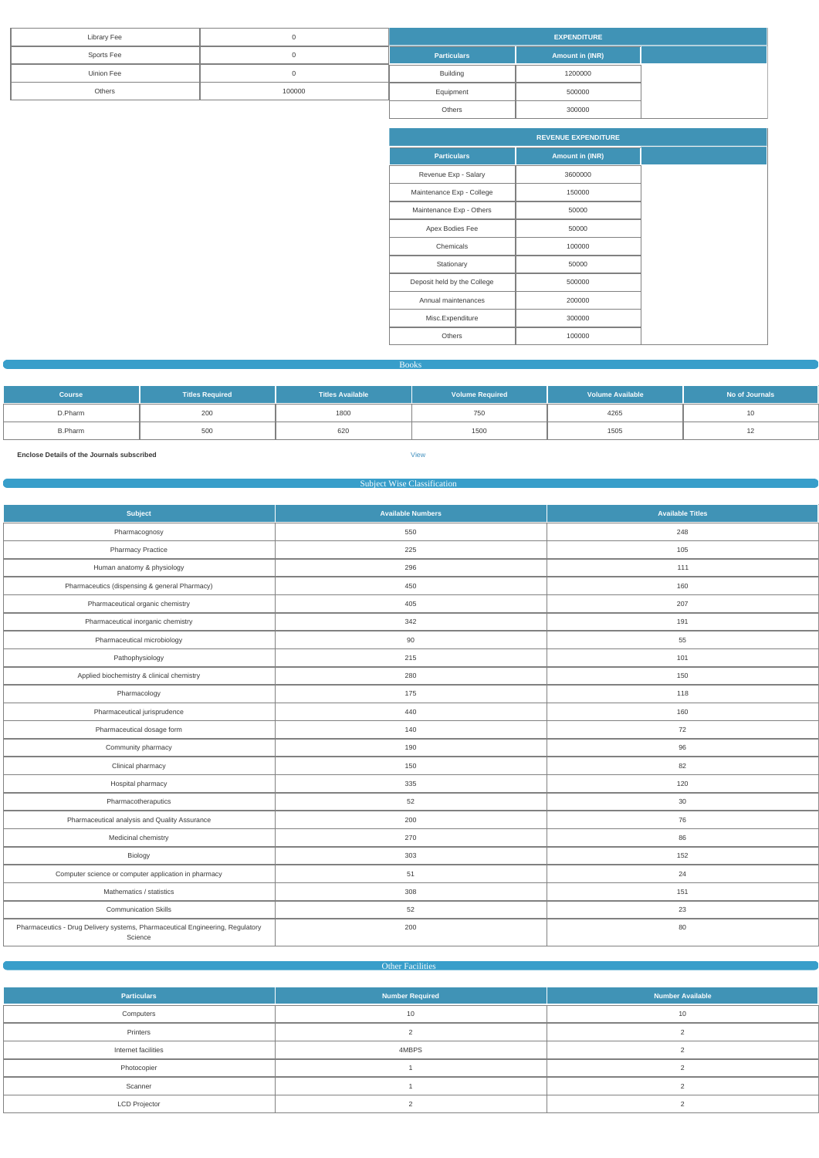| <b>Library Fee</b> |        | <b>EXPENDITURE</b> |                 |  |  |
|--------------------|--------|--------------------|-----------------|--|--|
| Sports Fee         |        | <b>Particulars</b> | Amount in (INR) |  |  |
| <b>Uinion Fee</b>  |        | <b>Building</b>    | 1200000         |  |  |
| Others             | 100000 | Equipment          | 500000          |  |  |
|                    |        | Others             | 300000          |  |  |

|                             | <b>REVENUE EXPENDITURE</b> |  |  |  |  |  |
|-----------------------------|----------------------------|--|--|--|--|--|
| <b>Particulars</b>          | <b>Amount in (INR)</b>     |  |  |  |  |  |
| Revenue Exp - Salary        | 3600000                    |  |  |  |  |  |
| Maintenance Exp - College   | 150000                     |  |  |  |  |  |
| Maintenance Exp - Others    | 50000                      |  |  |  |  |  |
| Apex Bodies Fee             | 50000                      |  |  |  |  |  |
| Chemicals                   | 100000                     |  |  |  |  |  |
| Stationary                  | 50000                      |  |  |  |  |  |
| Deposit held by the College | 500000                     |  |  |  |  |  |
| Annual maintenances         | 200000                     |  |  |  |  |  |
| Misc.Expenditure            | 300000                     |  |  |  |  |  |
| Others                      | 100000                     |  |  |  |  |  |

Books

| <b>Course</b>  | <b>Titles Required</b> | <b>Titles Available</b> | <b>Volume Required</b> | <b>Volume Available</b> | No of Journals |
|----------------|------------------------|-------------------------|------------------------|-------------------------|----------------|
| D.Pharm        | 200                    | 1800                    | 750                    | 4265                    |                |
| <b>B.Pharm</b> | 500                    | 620                     | 1500                   | 1505                    |                |

**Enclose Details of the Journals subscribed** [View](https://dgpm.nic.in/institute/getmongoPdfFile.do?renreceiptid=ca0bb624-dc0b-4c7e-a1f6-0b4df3195696&tablename=bookjournal)

## Subject Wise Classification

| <b>Subject</b>                                                                           | <b>Available Numbers</b> | <b>Available Titles</b> |
|------------------------------------------------------------------------------------------|--------------------------|-------------------------|
| Pharmacognosy                                                                            | 550                      | 248                     |
| <b>Pharmacy Practice</b>                                                                 | 225                      | 105                     |
| Human anatomy & physiology                                                               | 296                      | 111                     |
| Pharmaceutics (dispensing & general Pharmacy)                                            | 450                      | 160                     |
| Pharmaceutical organic chemistry                                                         | 405                      | 207                     |
| Pharmaceutical inorganic chemistry                                                       | 342                      | 191                     |
| Pharmaceutical microbiology                                                              | 90                       | 55                      |
| Pathophysiology                                                                          | 215                      | 101                     |
| Applied biochemistry & clinical chemistry                                                | 280                      | 150                     |
| Pharmacology                                                                             | 175                      | 118                     |
| Pharmaceutical jurisprudence                                                             | 440                      | 160                     |
| Pharmaceutical dosage form                                                               | 140                      | 72                      |
| Community pharmacy                                                                       | 190                      | 96                      |
| Clinical pharmacy                                                                        | 150                      | 82                      |
| Hospital pharmacy                                                                        | 335                      | 120                     |
| Pharmacotheraputics                                                                      | 52                       | 30                      |
| Pharmaceutical analysis and Quality Assurance                                            | 200                      | 76                      |
| Medicinal chemistry                                                                      | 270                      | 86                      |
| Biology                                                                                  | 303                      | 152                     |
| Computer science or computer application in pharmacy                                     | 51                       | 24                      |
| Mathematics / statistics                                                                 | 308                      | 151                     |
| <b>Communication Skills</b>                                                              | 52                       | 23                      |
| Pharmaceutics - Drug Delivery systems, Pharmaceutical Engineering, Regulatory<br>Science | 200                      | 80                      |

**Other Facilities** 

| <b>Particulars</b>   | <b>Number Required</b> | <b>Number Available</b> |
|----------------------|------------------------|-------------------------|
| Computers            | 10                     | 10                      |
| Printers             |                        |                         |
| Internet facilities  | 4MBPS                  |                         |
| Photocopier          |                        |                         |
| Scanner              |                        |                         |
| <b>LCD Projector</b> |                        |                         |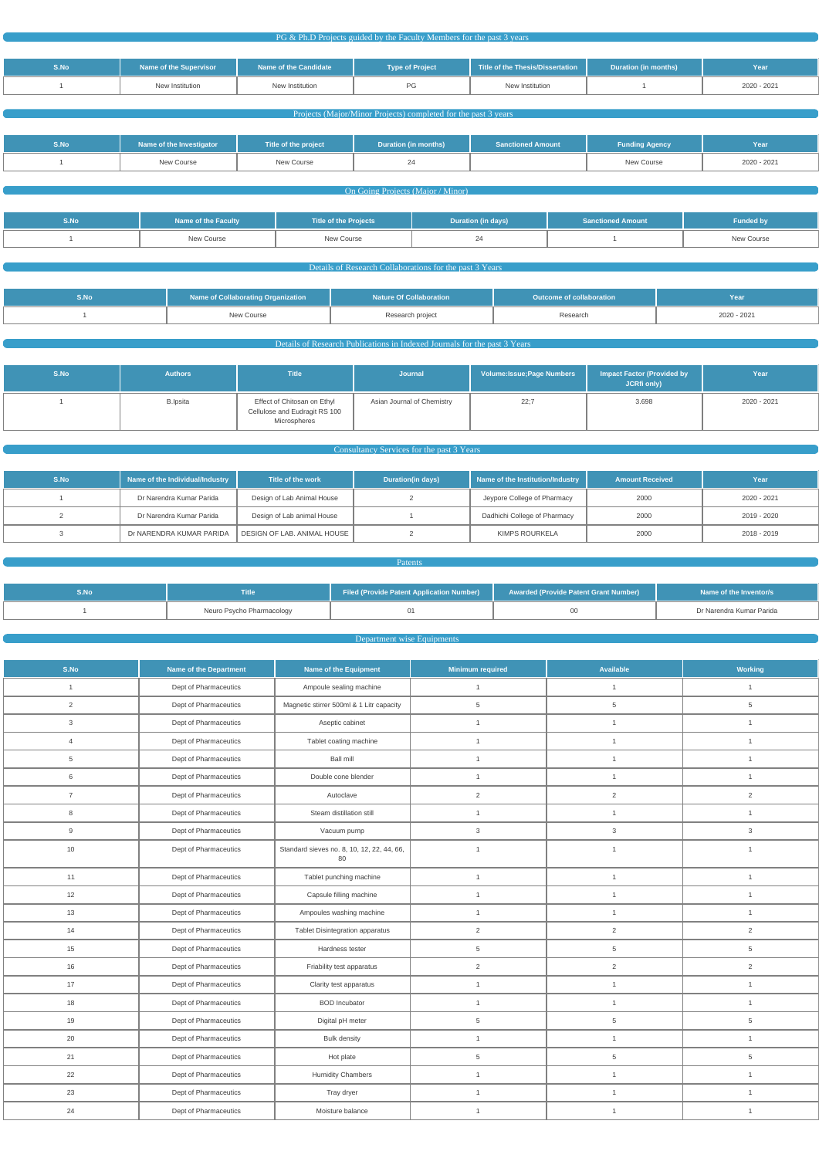PG & Ph.D Projects guided by the Faculty Members for the past 3 years

| S.No | Name of the Supervisor | Name of the Candidate | <b>Type of Project</b> | Title of the Thesis/Dissertation | <b>Duration (in months)</b> | Year        |
|------|------------------------|-----------------------|------------------------|----------------------------------|-----------------------------|-------------|
|      | New Institution        | New Institution       | ΡG                     | New Institution                  |                             | 2020 - 2021 |

#### **Projects (Major/Minor Projects) completed for the past 3 years**

| S.No | Name of the Investigator | Title of the project | Duration (in months) | <b>Sanctioned Amount</b> | <b>Funding Agency</b> | Year        |
|------|--------------------------|----------------------|----------------------|--------------------------|-----------------------|-------------|
|      | New Course               | New Course           |                      |                          | New Course            | 2020 - 2021 |

#### **Common Congress** (Major / Minor)

| S.No | Name of the Faculty | Title of the Projects | Duration (in days) | <b>Sanctioned Amount</b> | <b>Funded by</b> |
|------|---------------------|-----------------------|--------------------|--------------------------|------------------|
|      | New Course          | New Course            |                    |                          | New Course       |

#### Details of Research Collaborations for the past 3 Years

| 5.No | <b>Name of Collaborating Organization</b> | <b>Nature Of Collaboration</b> | Outcome of collaboration | Year        |
|------|-------------------------------------------|--------------------------------|--------------------------|-------------|
|      | New Course                                | Research project               | Research                 | 2020 - 2021 |

# Details of Research Publications in Indexed Journals for the past 3 Years

| S.No | <b>Authors</b>  | <b>Title</b>                                                                 | Journal                    | Volume: Issue; Page Numbers | <b>Impact Factor (Provided by</b><br><b>JCRfi only)</b> | Year        |
|------|-----------------|------------------------------------------------------------------------------|----------------------------|-----------------------------|---------------------------------------------------------|-------------|
|      | <b>B.Ipsita</b> | Effect of Chitosan on Ethyl<br>Cellulose and Eudragit RS 100<br>Microspheres | Asian Journal of Chemistry | 22;7                        | 3.698                                                   | 2020 - 2021 |

### **Consultancy Services for the past 3 Years Consultancy Services** for the past 3 Years

| S.No | Name of the Individual/Industry | Title of the work           | Duration(in days) | Name of the Institution/Industry | <b>Amount Received</b> | Year        |
|------|---------------------------------|-----------------------------|-------------------|----------------------------------|------------------------|-------------|
|      | Dr Narendra Kumar Parida        | Design of Lab Animal House  |                   | Jeypore College of Pharmacy      | 2000                   | 2020 - 2021 |
|      | Dr Narendra Kumar Parida        | Design of Lab animal House  |                   | Dadhichi College of Pharmacy     | 2000                   | 2019 - 2020 |
|      | Dr NARENDRA KUMAR PARIDA        | DESIGN OF LAB. ANIMAL HOUSE |                   | KIMPS ROURKELA                   | 2000                   | 2018 - 2019 |

| <b>Patents</b> |                           |                                           |                                              |                          |  |  |
|----------------|---------------------------|-------------------------------------------|----------------------------------------------|--------------------------|--|--|
|                |                           |                                           |                                              |                          |  |  |
| S.No           | <b>Title</b>              | Filed (Provide Patent Application Number) | <b>Awarded (Provide Patent Grant Number)</b> | Name of the Inventor/s   |  |  |
|                | Neuro Psycho Pharmacology |                                           | 00                                           | Dr Narendra Kumar Parida |  |  |

#### **Department wise Equipments Constitution Department wise Equipments**

| S.No           | <b>Name of the Department</b> | Name of the Equipment                            | <b>Minimum required</b> | <b>Available</b> | <b>Working</b> |
|----------------|-------------------------------|--------------------------------------------------|-------------------------|------------------|----------------|
| $\mathbf{1}$   | Dept of Pharmaceutics         | Ampoule sealing machine                          | $\mathbf{1}$            | $\mathbf{1}$     | $\mathbf{1}$   |
| $\overline{2}$ | Dept of Pharmaceutics         | Magnetic stirrer 500ml & 1 Litr capacity         | 5                       | 5                | 5              |
| $\mathbf{3}$   | Dept of Pharmaceutics         | Aseptic cabinet                                  | $\mathbf{1}$            | $\mathbf{1}$     | $\mathbf{1}$   |
| $\overline{4}$ | Dept of Pharmaceutics         | Tablet coating machine                           | $\mathbf{1}$            | $\mathbf{1}$     | $\mathbf{1}$   |
| 5              | Dept of Pharmaceutics         | <b>Ball mill</b>                                 | $\mathbf{1}$            | $\mathbf{1}$     | $\mathbf{1}$   |
| $\,6\,$        | Dept of Pharmaceutics         | Double cone blender                              | $\overline{1}$          | $\mathbf{1}$     | $\mathbf{1}$   |
| $\overline{7}$ | Dept of Pharmaceutics         | Autoclave                                        | $\overline{2}$          | $\overline{2}$   | 2              |
| 8              | Dept of Pharmaceutics         | Steam distillation still                         | $\mathbf{1}$            | $\mathbf{1}$     | $\mathbf{1}$   |
| 9              | Dept of Pharmaceutics         | Vacuum pump                                      | 3                       | $\mathbf{3}$     | $\mathbf{3}$   |
| 10             | Dept of Pharmaceutics         | Standard sieves no. 8, 10, 12, 22, 44, 66,<br>80 | $\mathbf{1}$            | $\mathbf{1}$     | $\mathbf{1}$   |
| 11             | Dept of Pharmaceutics         | Tablet punching machine                          | $\mathbf{1}$            | $\mathbf{1}$     | $\mathbf{1}$   |
| 12             | Dept of Pharmaceutics         | Capsule filling machine                          | $\mathbf{1}$            | $\mathbf{1}$     | $\mathbf{1}$   |
| 13             | Dept of Pharmaceutics         | Ampoules washing machine                         | $\mathbf{1}$            | $\mathbf{1}$     | $\mathbf{1}$   |
| 14             | Dept of Pharmaceutics         | Tablet Disintegration apparatus                  | $\overline{2}$          | $\overline{2}$   | $\overline{2}$ |
| 15             | Dept of Pharmaceutics         | Hardness tester                                  | 5                       | $\overline{5}$   | $\overline{5}$ |
| 16             | Dept of Pharmaceutics         | Friability test apparatus                        | $\overline{2}$          | $\overline{2}$   | $\overline{c}$ |
| 17             | Dept of Pharmaceutics         | Clarity test apparatus                           | $\mathbf{1}$            | $\mathbf{1}$     | $\mathbf{1}$   |
| 18             | Dept of Pharmaceutics         | <b>BOD</b> Incubator                             | $\mathbf{1}$            | $\mathbf{1}$     | $\mathbf{1}$   |
| 19             | Dept of Pharmaceutics         | Digital pH meter                                 | 5                       | $\sqrt{5}$       | $\sqrt{5}$     |
| 20             | Dept of Pharmaceutics         | <b>Bulk density</b>                              | $\mathbf{1}$            | $\mathbf{1}$     | $\mathbf{1}$   |
| 21             | Dept of Pharmaceutics         | Hot plate                                        | 5                       | $\sqrt{5}$       | $\,$ 5 $\,$    |
| 22             | Dept of Pharmaceutics         | <b>Humidity Chambers</b>                         | $\mathbf{1}$            | $\mathbf{1}$     | $\mathbf{1}$   |
| 23             | Dept of Pharmaceutics         | Tray dryer                                       | $\mathbf{1}$            | $\mathbf{1}$     | $\mathbf{1}$   |
| 24             | Dept of Pharmaceutics         | Moisture balance                                 | $\mathbf{1}$            | $\mathbf{1}$     | $\mathbf{1}$   |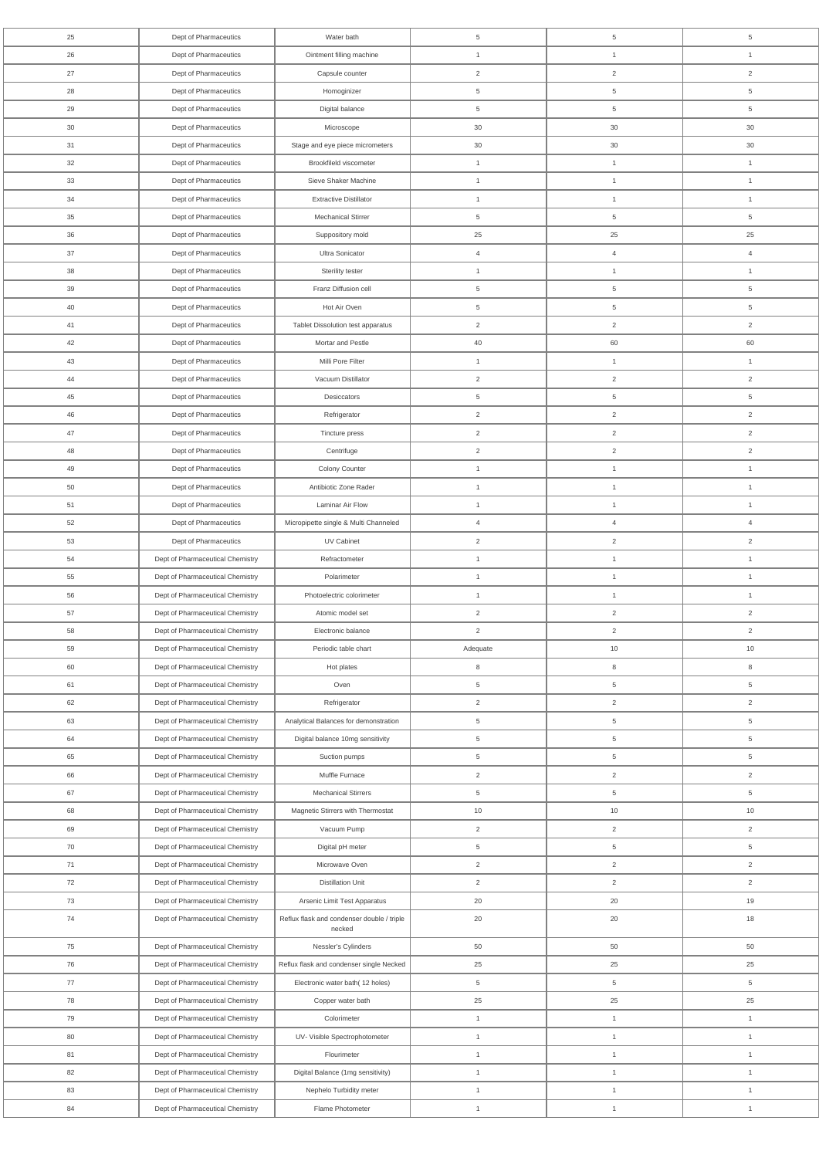| 25     | Dept of Pharmaceutics            | Water bath                                           | 5              | 5               | $\overline{5}$ |
|--------|----------------------------------|------------------------------------------------------|----------------|-----------------|----------------|
| 26     | Dept of Pharmaceutics            | Ointment filling machine                             | $\mathbf{1}$   | $\mathbf{1}$    | $\mathbf{1}$   |
| 27     | Dept of Pharmaceutics            | Capsule counter                                      | $\overline{2}$ | $\overline{2}$  | $\overline{2}$ |
| 28     | Dept of Pharmaceutics            | Homoginizer                                          | 5              | 5               | $\overline{5}$ |
| 29     | Dept of Pharmaceutics            | Digital balance                                      | 5              | $\,$ 5 $\,$     | $\overline{5}$ |
| 30     | Dept of Pharmaceutics            | Microscope                                           | 30             | $30\,$          | 30             |
| 31     | Dept of Pharmaceutics            | Stage and eye piece micrometers                      | 30             | $30\,$          | 30             |
| 32     | Dept of Pharmaceutics            | Brookfileld viscometer                               | $\mathbf{1}$   | 1               | $\mathbf{1}$   |
| 33     | Dept of Pharmaceutics            | Sieve Shaker Machine                                 | $\overline{1}$ | $\mathbf{1}$    | $\overline{1}$ |
| 34     | Dept of Pharmaceutics            | <b>Extractive Distillator</b>                        | $\mathbf{1}$   | $\mathbf{1}$    | $\overline{1}$ |
| 35     | Dept of Pharmaceutics            | <b>Mechanical Stirrer</b>                            | 5              | 5               | $\overline{5}$ |
| 36     | Dept of Pharmaceutics            | Suppository mold                                     | 25             | 25              | 25             |
| 37     | Dept of Pharmaceutics            | Ultra Sonicator                                      | $\overline{4}$ | $\overline{4}$  | $\overline{4}$ |
| 38     | Dept of Pharmaceutics            | Sterility tester                                     | $\mathbf{1}$   | $\mathbf{1}$    | $\mathbf{1}$   |
| 39     | Dept of Pharmaceutics            | Franz Diffusion cell                                 | $\overline{5}$ | 5               | $\overline{5}$ |
| 40     | Dept of Pharmaceutics            | Hot Air Oven                                         | 5              | 5               | $\overline{5}$ |
| 41     | Dept of Pharmaceutics            | Tablet Dissolution test apparatus                    | $\mathbf{2}$   | $\overline{2}$  | $\overline{2}$ |
| 42     | Dept of Pharmaceutics            | Mortar and Pestle                                    | 40             | 60              | 60             |
| 43     | Dept of Pharmaceutics            | Milli Pore Filter                                    | $\mathbf{1}$   | $\mathbf{1}$    | $\mathbf{1}$   |
| 44     | Dept of Pharmaceutics            | Vacuum Distillator                                   | $\overline{2}$ | $\overline{2}$  | $\overline{2}$ |
| 45     | Dept of Pharmaceutics            | Desiccators                                          | $\overline{5}$ | $5\phantom{.0}$ | $\overline{5}$ |
| 46     | Dept of Pharmaceutics            | Refrigerator                                         | $\overline{2}$ | $\overline{2}$  | $\overline{2}$ |
| 47     | Dept of Pharmaceutics            | Tincture press                                       | $\overline{2}$ | $\overline{2}$  | $\overline{2}$ |
| 48     | Dept of Pharmaceutics            | Centrifuge                                           | $\overline{2}$ | 2               | 2              |
| 49     | Dept of Pharmaceutics            | Colony Counter                                       | $\overline{1}$ | $\mathbf{1}$    | $\mathbf{1}$   |
| 50     | Dept of Pharmaceutics            | Antibiotic Zone Rader                                | $\overline{1}$ | $\mathbf{1}$    | $\mathbf{1}$   |
| 51     | Dept of Pharmaceutics            | Laminar Air Flow                                     | $\mathbf{1}$   | $\mathbf{1}$    | $\mathbf{1}$   |
| 52     | Dept of Pharmaceutics            | Micropipette single & Multi Channeled                | $\overline{4}$ | $\overline{4}$  | $\overline{4}$ |
| 53     | Dept of Pharmaceutics            | UV Cabinet                                           | $\mathbf{2}$   | $\overline{2}$  | $\overline{2}$ |
| 54     | Dept of Pharmaceutical Chemistry | Refractometer                                        | $\mathbf{1}$   | $\mathbf{1}$    | $\mathbf{1}$   |
| 55     | Dept of Pharmaceutical Chemistry | Polarimeter                                          | $\mathbf{1}$   | $\mathbf{1}$    | $\mathbf{1}$   |
|        |                                  |                                                      | $\mathbf{1}$   | $\mathbf{1}$    | $\mathbf{1}$   |
| 56     | Dept of Pharmaceutical Chemistry | Photoelectric colorimeter                            |                |                 |                |
| 57     | Dept of Pharmaceutical Chemistry | Atomic model set                                     | 2              | $\overline{2}$  | $\overline{2}$ |
| 58     | Dept of Pharmaceutical Chemistry | Electronic balance                                   | $\mathbf{2}$   | $\overline{2}$  | $\overline{2}$ |
| 59     | Dept of Pharmaceutical Chemistry | Periodic table chart                                 | Adequate       | 10              | 10             |
| 60     | Dept of Pharmaceutical Chemistry | Hot plates                                           | 8              | 8               | 8              |
| 61     | Dept of Pharmaceutical Chemistry | Oven                                                 | 5              | 5               | $\overline{5}$ |
| 62     | Dept of Pharmaceutical Chemistry | Refrigerator                                         | $\overline{2}$ | $\overline{2}$  | $\overline{2}$ |
| 63     | Dept of Pharmaceutical Chemistry | Analytical Balances for demonstration                | 5              | $5\phantom{.0}$ | $\overline{5}$ |
| 64     | Dept of Pharmaceutical Chemistry | Digital balance 10mg sensitivity                     | 5              | $\,$ 5 $\,$     | $\overline{5}$ |
| 65     | Dept of Pharmaceutical Chemistry | Suction pumps                                        | 5              | $5\phantom{.0}$ | $\overline{5}$ |
| 66     | Dept of Pharmaceutical Chemistry | Muffle Furnace                                       | 2              | $\overline{2}$  | 2              |
| 67     | Dept of Pharmaceutical Chemistry | <b>Mechanical Stirrers</b>                           | 5              | $5\phantom{.0}$ | $\overline{5}$ |
| 68     | Dept of Pharmaceutical Chemistry | Magnetic Stirrers with Thermostat                    | $10$           | 10              | 10             |
| 69     | Dept of Pharmaceutical Chemistry | Vacuum Pump                                          | 2              | $\overline{2}$  | 2              |
| 70     | Dept of Pharmaceutical Chemistry | Digital pH meter                                     | 5              | $\overline{5}$  | $\overline{5}$ |
| 71     | Dept of Pharmaceutical Chemistry | Microwave Oven                                       | $\overline{2}$ | $\overline{2}$  | 2              |
| 72     | Dept of Pharmaceutical Chemistry | <b>Distillation Unit</b>                             | 2              | $\overline{2}$  | 2              |
| 73     | Dept of Pharmaceutical Chemistry | Arsenic Limit Test Apparatus                         | 20             | 20              | 19             |
| $74$   | Dept of Pharmaceutical Chemistry | Reflux flask and condenser double / triple<br>necked | 20             | 20              | 18             |
| 75     | Dept of Pharmaceutical Chemistry | Nessler's Cylinders                                  | 50             | 50              | 50             |
| 76     | Dept of Pharmaceutical Chemistry | Reflux flask and condenser single Necked             | 25             | 25              | 25             |
| $77$   | Dept of Pharmaceutical Chemistry | Electronic water bath(12 holes)                      | $\overline{5}$ | $\overline{5}$  | $\overline{5}$ |
| 78     | Dept of Pharmaceutical Chemistry | Copper water bath                                    | 25             | 25              | 25             |
| 79     | Dept of Pharmaceutical Chemistry | Colorimeter                                          | $\mathbf{1}$   | $\mathbf{1}$    | $\mathbf{1}$   |
| $80\,$ | Dept of Pharmaceutical Chemistry | UV- Visible Spectrophotometer                        | $\mathbf{1}$   | $\mathbf{1}$    | $\mathbf{1}$   |
| 81     | Dept of Pharmaceutical Chemistry | Flourimeter                                          | $\mathbf{1}$   | $\mathbf{1}$    | $\mathbf{1}$   |
| 82     | Dept of Pharmaceutical Chemistry | Digital Balance (1mg sensitivity)                    | $\mathbf{1}$   | $\mathbf{1}$    | $\mathbf{1}$   |
| 83     | Dept of Pharmaceutical Chemistry | Nephelo Turbidity meter                              | $\mathbf{1}$   | $\mathbf{1}$    | $\mathbf{1}$   |
| 84     | Dept of Pharmaceutical Chemistry | Flame Photometer                                     | $\overline{1}$ | $\mathbf{1}$    | $\mathbf{1}$   |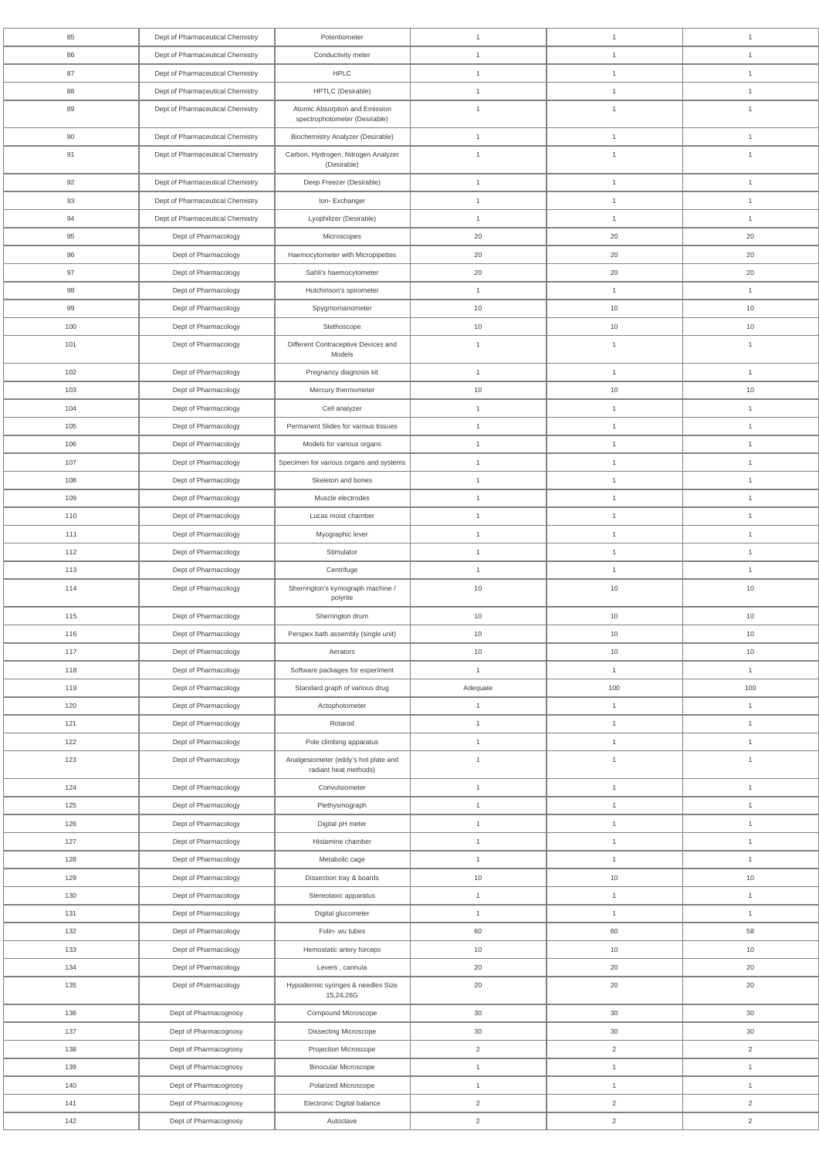| 85         | Dept of Pharmaceutical Chemistry             | Potentiometer                                                 | $\mathbf{1}$                     | $\overline{1}$                   | $\overline{1}$                   |
|------------|----------------------------------------------|---------------------------------------------------------------|----------------------------------|----------------------------------|----------------------------------|
| 86         | Dept of Pharmaceutical Chemistry             | Conductivity meter                                            | $\mathbf{1}$                     | $\overline{1}$                   | $\overline{1}$                   |
| 87         | Dept of Pharmaceutical Chemistry             | <b>HPLC</b>                                                   | $\overline{1}$                   | $\overline{1}$                   | $\overline{1}$                   |
| 88         | Dept of Pharmaceutical Chemistry             | HPTLC (Desirable)                                             | $\overline{1}$                   | $\overline{1}$                   | $\overline{1}$                   |
| 89         | Dept of Pharmaceutical Chemistry             | Atomic Absorption and Emission                                | $\overline{1}$                   | $\overline{1}$                   | $\overline{1}$                   |
|            |                                              | spectrophotometer (Desirable)                                 |                                  |                                  |                                  |
| 90         | Dept of Pharmaceutical Chemistry             | <b>Biochemistry Analyzer (Desirable)</b>                      | $\overline{1}$                   | $\overline{1}$                   | $\overline{1}$                   |
| 91         | Dept of Pharmaceutical Chemistry             | Carbon, Hydrogen, Nitrogen Analyzer<br>(Desirable)            | $\overline{1}$                   | $\overline{1}$                   | $\overline{1}$                   |
| 92         | Dept of Pharmaceutical Chemistry             | Deep Freezer (Desirable)                                      | $\mathbf{1}$                     | $\overline{1}$                   | $\overline{1}$                   |
| 93         | Dept of Pharmaceutical Chemistry             | Ion-Exchanger                                                 | $\overline{1}$                   | $\overline{1}$                   | $\overline{1}$                   |
| 94         | Dept of Pharmaceutical Chemistry             | Lyophilizer (Desirable)                                       | $\overline{1}$                   | $\overline{1}$                   | $\overline{1}$                   |
| 95         | Dept of Pharmacology                         | Microscopes                                                   | 20                               | 20                               | 20                               |
| 96         | Dept of Pharmacology                         | Haemocytometer with Micropipettes                             | 20                               | 20                               | 20                               |
| 97         | Dept of Pharmacology                         | Sahli's haemocytometer                                        | 20                               | 20                               | 20                               |
| 98         | Dept of Pharmacology                         | Hutchinson's spirometer                                       | $\overline{1}$                   | $\overline{1}$                   | $\overline{1}$                   |
| 99         | Dept of Pharmacology                         | Spygmomanometer                                               | 10                               | 10                               | 10                               |
| 100        | Dept of Pharmacology                         | Stethoscope                                                   | 10                               | 10                               | 10                               |
| 101        | Dept of Pharmacology                         | Different Contraceptive Devices and                           | $\overline{1}$                   | $\overline{1}$                   | $\overline{1}$                   |
|            |                                              | Models                                                        |                                  |                                  |                                  |
| 102        | Dept of Pharmacology                         | Pregnancy diagnosis kit                                       | $\overline{1}$                   | $\overline{1}$                   | $\overline{1}$                   |
| 103        | Dept of Pharmacology                         | Mercury thermometer                                           | 10                               | 10                               | 10                               |
| 104        | Dept of Pharmacology                         | Cell analyzer                                                 | $\overline{1}$                   | $\overline{1}$                   | $\overline{1}$                   |
| 105        | Dept of Pharmacology                         | Permanent Slides for various tissues                          | $\overline{1}$                   | $\overline{1}$                   | $\overline{1}$                   |
| 106        | Dept of Pharmacology                         | Models for various organs                                     | $\overline{1}$                   | $\overline{1}$                   | $\overline{1}$                   |
| 107        | Dept of Pharmacology                         | Specimen for various organs and systems                       | $\overline{1}$                   | $\overline{1}$                   | -1                               |
| 108        | Dept of Pharmacology                         | Skeleton and bones                                            | $\mathbf{1}$                     | $\overline{1}$                   | $\overline{1}$                   |
| 109<br>110 | Dept of Pharmacology<br>Dept of Pharmacology | Muscle electrodes<br>Lucas moist chamber                      | $\overline{1}$<br>$\overline{1}$ | $\overline{1}$<br>$\overline{1}$ | $\overline{1}$<br>$\overline{1}$ |
| 111        |                                              |                                                               |                                  | $\overline{1}$                   | $\overline{1}$                   |
| 112        | Dept of Pharmacology<br>Dept of Pharmacology | Myographic lever<br>Stimulator                                | $\overline{1}$<br>$\mathbf{1}$   | $\overline{1}$                   | $\overline{1}$                   |
| 113        | Dept of Pharmacology                         | Centrifuge                                                    | $\mathbf{1}$                     | $\mathbf{1}$                     | $\overline{1}$                   |
| 114        | Dept of Pharmacology                         | Sherrington's kymograph machine /                             | $10$                             | $10$                             | $10$                             |
|            |                                              | polyrite                                                      |                                  |                                  |                                  |
| 115        | Dept of Pharmacology                         | Sherrington drum                                              | 10                               | 10                               | 10                               |
| 116        | Dept of Pharmacology                         | Perspex bath assembly (single unit)                           | 10                               | 10                               | 10                               |
| 117        | Dept of Pharmacology                         | Aerators                                                      | 10                               | 10                               | $10$                             |
| 118        | Dept of Pharmacology                         | Software packages for experiment                              | $\overline{1}$                   | $\overline{1}$                   | $\overline{1}$                   |
| 119        | Dept of Pharmacology                         | Standard graph of various drug                                | Adequate                         | 100                              | 100                              |
| 120        | Dept of Pharmacology                         | Actophotometer                                                | $\overline{1}$                   | $\overline{1}$                   | $\overline{1}$                   |
| 121        | Dept of Pharmacology                         | Rotarod                                                       | $\overline{1}$                   | $\overline{1}$                   | $\overline{1}$                   |
| 122        | Dept of Pharmacology                         | Pole climbing apparatus                                       | $\overline{1}$                   | $\overline{1}$                   | $\overline{1}$                   |
| 123        | Dept of Pharmacology                         | Analgesiometer (eddy's hot plate and<br>radiant heat methods) | $\mathbf{1}$                     | $\overline{1}$                   | $\overline{1}$                   |
| 124        | Dept of Pharmacology                         | Convulsiometer                                                | $\overline{1}$                   | $\overline{1}$                   | $\overline{1}$                   |
| 125        | Dept of Pharmacology                         | Plethysmograph                                                | $\mathbf{1}$                     | $\overline{1}$                   | $\overline{1}$                   |
| 126        | Dept of Pharmacology                         | Digital pH meter                                              | $\overline{1}$                   | $\overline{1}$                   | $\overline{1}$                   |
| 127        | Dept of Pharmacology                         | Histamine chamber                                             | $\mathbf{1}$                     | $\overline{1}$                   | $\overline{1}$                   |
| 128        | Dept of Pharmacology                         | Metabolic cage                                                | $\overline{1}$                   | $\overline{1}$                   | $\overline{1}$                   |
| 129        | Dept of Pharmacology                         | Dissection tray & boards                                      | 10                               | $10$                             | $10$                             |
| 130        | Dept of Pharmacology                         | Stereotaxic apparatus                                         | $\mathbf{1}$                     | $\overline{1}$                   | $\overline{1}$                   |
| 131        | Dept of Pharmacology                         | Digital glucometer                                            | $\overline{1}$                   | $\overline{1}$                   | $\overline{1}$                   |
| 132        | Dept of Pharmacology                         | Folin- wu tubes                                               | 60                               | 60                               | 58                               |
| 133        | Dept of Pharmacology                         | Hemostatic artery forceps                                     | $10$                             | $10$                             | $10\,$                           |
| 134        | Dept of Pharmacology                         | Levers, cannula                                               | $20\,$                           | $20\,$                           | 20                               |
| 135        | Dept of Pharmacology                         | Hypodermic syringes & needles Size                            | $20\,$                           | $20\,$                           | $20\,$                           |
|            |                                              | 15,24,26G                                                     |                                  |                                  |                                  |
| 136        | Dept of Pharmacognosy                        | Compound Microscope                                           | $30\,$                           | $30\,$                           | 30                               |
| 137        | Dept of Pharmacognosy                        | Dissecting Microscope                                         | $30\,$                           | 30                               | 30                               |
| 138        | Dept of Pharmacognosy                        | Projection Microscope                                         | $\overline{2}$                   | $\overline{2}$                   | $\overline{2}$                   |
| 139        | Dept of Pharmacognosy                        | <b>Binocular Microscope</b>                                   | $\mathbf{1}$                     | $\mathbf{1}$                     | $\mathbf{1}$                     |
| 140        | Dept of Pharmacognosy                        | Polarized Microscope                                          | $\mathbf{1}$                     | $\mathbf{1}$                     | $\mathbf{1}$                     |
| 141        | Dept of Pharmacognosy                        | Electronic Digital balance                                    | $\overline{2}$                   | $\overline{2}$                   | $\overline{2}$                   |
| 142        | Dept of Pharmacognosy                        | Autoclave                                                     | $\overline{c}$                   | $\overline{2}$                   | $\overline{2}$                   |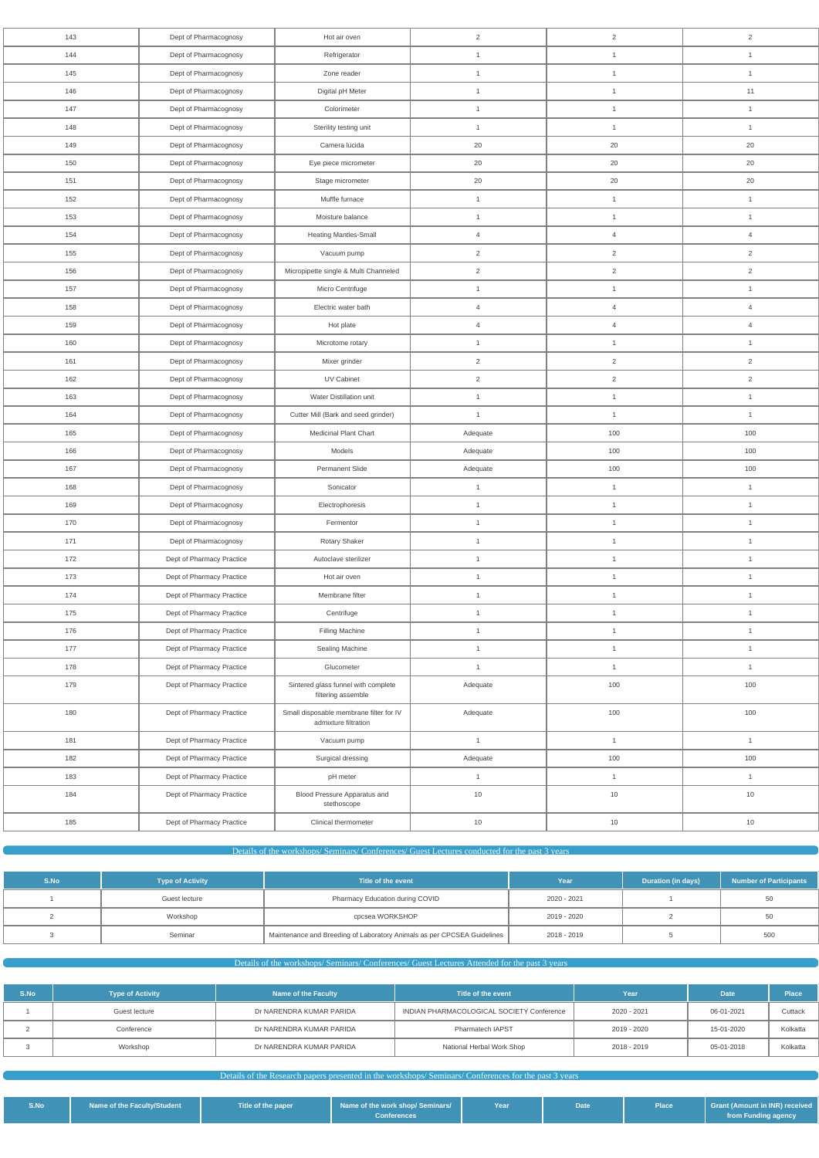| 143 |                           |                                                                 |                |                |                |
|-----|---------------------------|-----------------------------------------------------------------|----------------|----------------|----------------|
|     | Dept of Pharmacognosy     | Hot air oven                                                    | $\sqrt{2}$     | $\sqrt{2}$     | $\overline{2}$ |
| 144 | Dept of Pharmacognosy     | Refrigerator                                                    | $\mathbf{1}$   | $\mathbf{1}$   | $\mathbf{1}$   |
| 145 | Dept of Pharmacognosy     | Zone reader                                                     | $\mathbf{1}$   | $\mathbf{1}$   | $\mathbf{1}$   |
| 146 | Dept of Pharmacognosy     | Digital pH Meter                                                | $\overline{1}$ | $\mathbf{1}$   | 11             |
| 147 | Dept of Pharmacognosy     | Colorimeter                                                     | $\mathbf{1}$   | $\mathbf{1}$   | $\mathbf{1}$   |
| 148 | Dept of Pharmacognosy     | Sterility testing unit                                          | $\overline{1}$ | 1              | $\mathbf{1}$   |
| 149 | Dept of Pharmacognosy     | Camera lucida                                                   | 20             | $20\,$         | 20             |
| 150 | Dept of Pharmacognosy     | Eye piece micrometer                                            | 20             | $20\,$         | 20             |
| 151 | Dept of Pharmacognosy     | Stage micrometer                                                | 20             | $20\,$         | 20             |
| 152 | Dept of Pharmacognosy     | Muffle furnace                                                  | $\mathbf{1}$   | $\mathbf{1}$   | $\mathbf{1}$   |
| 153 | Dept of Pharmacognosy     | Moisture balance                                                | $\overline{1}$ | $\mathbf{1}$   | $\mathbf{1}$   |
| 154 | Dept of Pharmacognosy     | Heating Mantles-Small                                           | $\overline{4}$ | $\overline{4}$ | $\overline{4}$ |
| 155 | Dept of Pharmacognosy     | Vacuum pump                                                     | $\overline{2}$ | $\overline{2}$ | $\overline{2}$ |
| 156 | Dept of Pharmacognosy     | Micropipette single & Multi Channeled                           | $\sqrt{2}$     | $\overline{2}$ | $\overline{2}$ |
| 157 | Dept of Pharmacognosy     | Micro Centrifuge                                                | $\mathbf{1}$   | $\mathbf{1}$   | $\mathbf{1}$   |
| 158 | Dept of Pharmacognosy     | Electric water bath                                             | $\overline{4}$ | $\overline{4}$ | $\overline{4}$ |
| 159 | Dept of Pharmacognosy     | Hot plate                                                       | $\overline{4}$ | $\overline{4}$ | $\overline{4}$ |
| 160 | Dept of Pharmacognosy     | Microtome rotary                                                | $\mathbf{1}$   | 1              | $\mathbf{1}$   |
| 161 | Dept of Pharmacognosy     | Mixer grinder                                                   | $\overline{2}$ | $\overline{2}$ | $\overline{2}$ |
| 162 | Dept of Pharmacognosy     | UV Cabinet                                                      | $\overline{c}$ | $\overline{a}$ | $\overline{2}$ |
| 163 | Dept of Pharmacognosy     | Water Distillation unit                                         | $\mathbf{1}$   | $\mathbf{1}$   | $\mathbf{1}$   |
| 164 | Dept of Pharmacognosy     | Cutter Mill (Bark and seed grinder)                             | $\overline{1}$ | $\mathbf{1}$   | $\mathbf{1}$   |
| 165 | Dept of Pharmacognosy     | Medicinal Plant Chart                                           | Adequate       | 100            | 100            |
| 166 | Dept of Pharmacognosy     | Models                                                          | Adequate       | 100            | 100            |
| 167 | Dept of Pharmacognosy     | Permanent Slide                                                 | Adequate       | 100            | 100            |
|     |                           | Sonicator                                                       | $\mathbf{1}$   | $\mathbf{1}$   | $\mathbf{1}$   |
| 168 | Dept of Pharmacognosy     |                                                                 |                |                |                |
| 169 | Dept of Pharmacognosy     | Electrophoresis                                                 | $\mathbf{1}$   | $\mathbf{1}$   | $\mathbf{1}$   |
| 170 | Dept of Pharmacognosy     | Fermentor                                                       | $\mathbf{1}$   | $\mathbf{1}$   | $\mathbf{1}$   |
| 171 | Dept of Pharmacognosy     | Rotary Shaker                                                   | $\overline{1}$ | $\mathbf{1}$   | $\mathbf{1}$   |
| 172 | Dept of Pharmacy Practice | Autoclave sterilizer                                            | $\mathbf{1}$   | $\mathbf{1}$   | $\mathbf{1}$   |
| 173 | Dept of Pharmacy Practice | Hot air oven                                                    | $\mathbf{1}$   | $\mathbf{1}$   | $\mathbf{1}$   |
| 174 | Dept of Pharmacy Practice | Membrane filter                                                 | $\mathbf{1}$   | $\mathbf{1}$   | $\mathbf{1}$   |
| 175 | Dept of Pharmacy Practice | Centrifuge                                                      | $\mathbf{1}$   | $\mathbf{1}$   | $\mathbf{1}$   |
| 176 | Dept of Pharmacy Practice | Filling Machine                                                 | $\overline{1}$ | $\mathbf{1}$   | $\mathbf{1}$   |
| 177 | Dept of Pharmacy Practice | Sealing Machine                                                 | $\mathbf{1}$   | $\mathbf{1}$   | $\mathbf{1}$   |
| 178 | Dept of Pharmacy Practice | Glucometer                                                      | $\overline{1}$ | $\mathbf{1}$   | $\mathbf{1}$   |
| 179 | Dept of Pharmacy Practice | Sintered glass funnel with complete<br>filtering assemble       | Adequate       | 100            | 100            |
| 180 | Dept of Pharmacy Practice | Small disposable membrane filter for IV<br>admixture filtration | Adequate       | 100            | 100            |
| 181 | Dept of Pharmacy Practice | Vacuum pump                                                     | $\mathbf{1}$   | $\mathbf{1}$   | $\overline{1}$ |
| 182 | Dept of Pharmacy Practice | Surgical dressing                                               | Adequate       | 100            | 100            |
| 183 | Dept of Pharmacy Practice | pH meter                                                        | $\mathbf{1}$   | $\mathbf{1}$   | $\mathbf{1}$   |
| 184 | Dept of Pharmacy Practice | Blood Pressure Apparatus and<br>stethoscope                     | $10$           | 10             | 10             |

| S.No | <b>Type of Activity</b> | Title of the event                                                      | Year        | Duration (in days) | <b>Number of Participants</b> |
|------|-------------------------|-------------------------------------------------------------------------|-------------|--------------------|-------------------------------|
|      | Guest lecture           | Pharmacy Education during COVID                                         | 2020 - 2021 |                    | 50                            |
|      | Workshop                | cpcsea WORKSHOP                                                         | 2019 - 2020 |                    | 50                            |
|      | Seminar                 | Maintenance and Breeding of Laboratory Animals as per CPCSEA Guidelines | 2018 - 2019 |                    | 500                           |

Details of the workshops/ Seminars/ Conferences/ Guest Lectures Attended for the past 3 years

| S.No | <b>Type of Activity</b> | Name of the Faculty      | Title of the event                        | Year        | <b>Date</b> | <b>Place</b> |
|------|-------------------------|--------------------------|-------------------------------------------|-------------|-------------|--------------|
|      | Guest lecture           | Dr NARENDRA KUMAR PARIDA | INDIAN PHARMACOLOGICAL SOCIETY Conference | 2020 - 2021 | 06-01-2021  | Cuttack      |
|      | Conference              | Dr NARENDRA KUMAR PARIDA | Pharmatech IAPST                          | 2019 - 2020 | 15-01-2020  | Kolkatta     |
|      | Workshop                | Dr NARENDRA KUMAR PARIDA | National Herbal Work Shop                 | 2018 - 2019 | 05-01-2018  | Kolkatta     |

Details of the Research papers presented in the workshops/ Seminars/ Conferences for the past 3 years

| S.No | Name of the Faculty/Student | Title of the paper | Name of the work shop/ Seminars/<br>Conferences <sup>1</sup> | Year | Date |  | Grant (Amount in INR) received<br>from Funding agency |
|------|-----------------------------|--------------------|--------------------------------------------------------------|------|------|--|-------------------------------------------------------|
|------|-----------------------------|--------------------|--------------------------------------------------------------|------|------|--|-------------------------------------------------------|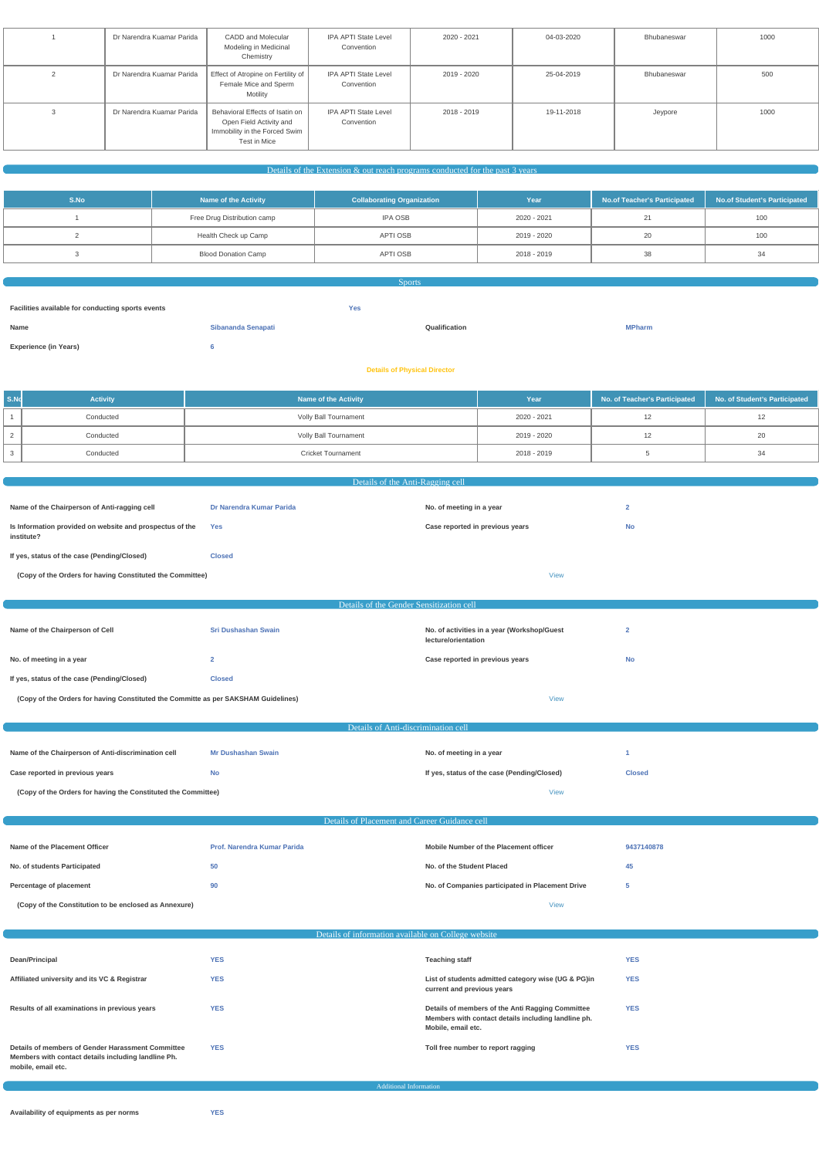|            | Dr Narendra Kuamar Parida | CADD and Molecular<br>Modeling in Medicinal<br>Chemistry                                                    | IPA APTI State Level<br>Convention | 2020 - 2021 | 04-03-2020 | Bhubaneswar | 1000 |
|------------|---------------------------|-------------------------------------------------------------------------------------------------------------|------------------------------------|-------------|------------|-------------|------|
| $\epsilon$ | Dr Narendra Kuamar Parida | Effect of Atropine on Fertility of<br>Female Mice and Sperm<br>Motility                                     | IPA APTI State Level<br>Convention | 2019 - 2020 | 25-04-2019 | Bhubaneswar | 500  |
|            | Dr Narendra Kuamar Parida | Behavioral Effects of Isatin on<br>Open Field Activity and<br>Immobility in the Forced Swim<br>Test in Mice | IPA APTI State Level<br>Convention | 2018 - 2019 | 19-11-2018 | Jeypore     | 1000 |

 $\alpha$  Details of the Extension  $\&$  out reach programs conducted for the past 3 years

| S.No | <b>Name of the Activity</b> | <b>Collaborating Organization</b> | Year        | No.of Teacher's Participated | No.of Student's Participated |
|------|-----------------------------|-----------------------------------|-------------|------------------------------|------------------------------|
|      | Free Drug Distribution camp | IPA OSB                           | 2020 - 2021 |                              | 100                          |
|      | Health Check up Camp        | APTI OSB                          | 2019 - 2020 |                              | 100                          |
|      | <b>Blood Donation Camp</b>  | APTI OSB                          | 2018 - 2019 |                              |                              |

| <b>Sports</b>                                                   |                           |               |               |  |  |
|-----------------------------------------------------------------|---------------------------|---------------|---------------|--|--|
| Facilities available for conducting sports events<br><b>Yes</b> |                           |               |               |  |  |
|                                                                 |                           |               |               |  |  |
| Name                                                            | <b>Sibananda Senapati</b> | Qualification | <b>MPharm</b> |  |  |
| <b>Experience (in Years)</b>                                    |                           |               |               |  |  |
| <b>Details of Physical Director</b>                             |                           |               |               |  |  |

| S.No | <b>Activity</b> | Name of the Activity         | Year        | No. of Teacher's Participated No. of Student's Participated |  |
|------|-----------------|------------------------------|-------------|-------------------------------------------------------------|--|
|      | Conducted       | <b>Volly Ball Tournament</b> | 2020 - 2021 |                                                             |  |
|      | Conducted       | <b>Volly Ball Tournament</b> | 2019 - 2020 |                                                             |  |
|      | Conducted       | <b>Cricket Tournament</b>    | 2018 - 2019 |                                                             |  |

| Details of the Anti-Ragging cell                                                   |                                               |                                                                    |                         |  |  |  |  |
|------------------------------------------------------------------------------------|-----------------------------------------------|--------------------------------------------------------------------|-------------------------|--|--|--|--|
|                                                                                    |                                               |                                                                    |                         |  |  |  |  |
| Name of the Chairperson of Anti-ragging cell                                       | Dr Narendra Kumar Parida                      | No. of meeting in a year                                           | $\overline{2}$          |  |  |  |  |
| Is Information provided on website and prospectus of the<br>institute?             | Yes                                           | Case reported in previous years                                    | <b>No</b>               |  |  |  |  |
| If yes, status of the case (Pending/Closed)                                        | <b>Closed</b>                                 |                                                                    |                         |  |  |  |  |
| (Copy of the Orders for having Constituted the Committee)                          |                                               | <b>View</b>                                                        |                         |  |  |  |  |
|                                                                                    |                                               |                                                                    |                         |  |  |  |  |
|                                                                                    | Details of the Gender Sensitization cell      |                                                                    |                         |  |  |  |  |
|                                                                                    |                                               |                                                                    |                         |  |  |  |  |
| Name of the Chairperson of Cell                                                    | <b>Sri Dushashan Swain</b>                    | No. of activities in a year (Workshop/Guest<br>lecture/orientation | $\overline{\mathbf{2}}$ |  |  |  |  |
| No. of meeting in a year                                                           | $\overline{2}$                                | Case reported in previous years                                    | <b>No</b>               |  |  |  |  |
| If yes, status of the case (Pending/Closed)                                        | <b>Closed</b>                                 |                                                                    |                         |  |  |  |  |
| (Copy of the Orders for having Constituted the Committe as per SAKSHAM Guidelines) |                                               | <b>View</b>                                                        |                         |  |  |  |  |
|                                                                                    |                                               |                                                                    |                         |  |  |  |  |
|                                                                                    | Details of Anti-discrimination cell           |                                                                    |                         |  |  |  |  |
| Name of the Chairperson of Anti-discrimination cell                                | <b>Mr Dushashan Swain</b>                     | No. of meeting in a year                                           | -1                      |  |  |  |  |
| Case reported in previous years                                                    | <b>No</b>                                     | If yes, status of the case (Pending/Closed)                        | <b>Closed</b>           |  |  |  |  |
| (Copy of the Orders for having the Constituted the Committee)                      |                                               | <b>View</b>                                                        |                         |  |  |  |  |
|                                                                                    |                                               |                                                                    |                         |  |  |  |  |
|                                                                                    | Details of Placement and Career Guidance cell |                                                                    |                         |  |  |  |  |
|                                                                                    |                                               |                                                                    |                         |  |  |  |  |
| Name of the Placement Officer                                                      | Prof. Narendra Kumar Parida                   | Mobile Number of the Placement officer                             | 9437140878              |  |  |  |  |
| No. of students Participated                                                       | 50                                            | No. of the Student Placed                                          | 45                      |  |  |  |  |

**Percentage of placement 190 190 190 190 190 190 190 190 190 190 190 190 190 190 190 190 190 190 190 190 190 190 190 190 190 190 190 190 190 190 190 190 190** 

**(Copy of the Constitution to be enclosed as Annexure)** [View](https://dgpm.nic.in/institute/getmongoPdfFile.do?renreceiptid=f8972397-57ad-47e6-8c48-f0f232c344d5&tablename=placement)

Details of information available on College website

| Dean/Principal                                                                                                                 | <b>YES</b> | <b>Teaching staff</b>                                                                                                         | <b>YES</b> |
|--------------------------------------------------------------------------------------------------------------------------------|------------|-------------------------------------------------------------------------------------------------------------------------------|------------|
| Affiliated university and its VC & Registrar                                                                                   | <b>YES</b> | List of students admitted category wise (UG & PG)in<br>current and previous years                                             | <b>YES</b> |
| Results of all examinations in previous years                                                                                  | <b>YES</b> | Details of members of the Anti Ragging Committee<br>Members with contact details including landline ph.<br>Mobile, email etc. | <b>YES</b> |
| Details of members of Gender Harassment Committee<br>Members with contact details including landline Ph.<br>mobile, email etc. | <b>YES</b> | Toll free number to report ragging                                                                                            | <b>YES</b> |

#### Additional Information